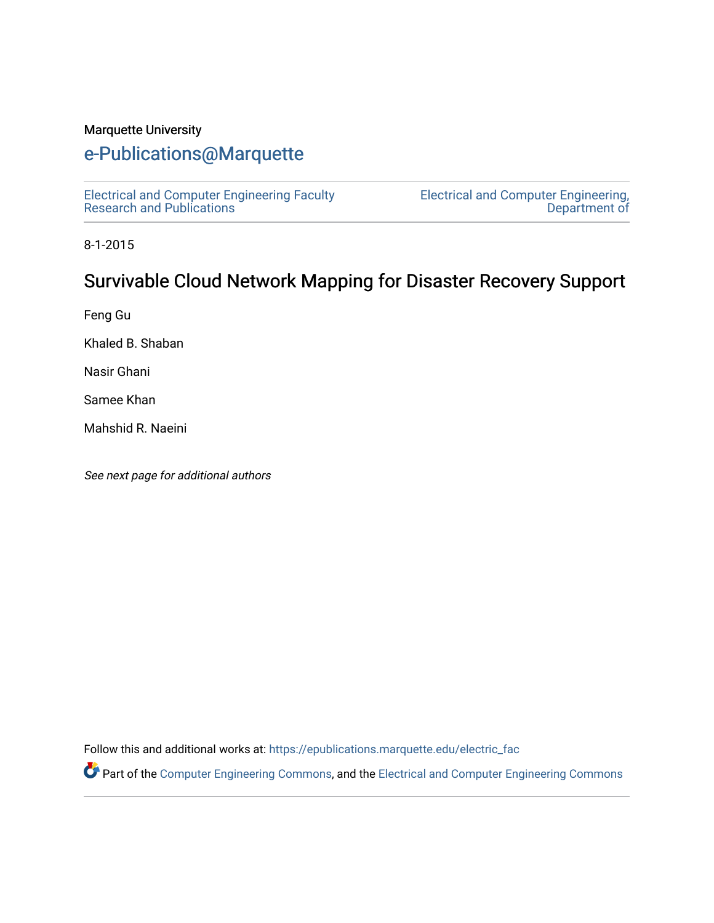#### Marquette University

## [e-Publications@Marquette](https://epublications.marquette.edu/)

[Electrical and Computer Engineering Faculty](https://epublications.marquette.edu/electric_fac) [Research and Publications](https://epublications.marquette.edu/electric_fac) 

[Electrical and Computer Engineering,](https://epublications.marquette.edu/electric)  [Department of](https://epublications.marquette.edu/electric) 

8-1-2015

## Survivable Cloud Network Mapping for Disaster Recovery Support

Feng Gu

Khaled B. Shaban

Nasir Ghani

Samee Khan

Mahshid R. Naeini

See next page for additional authors

Follow this and additional works at: [https://epublications.marquette.edu/electric\\_fac](https://epublications.marquette.edu/electric_fac?utm_source=epublications.marquette.edu%2Felectric_fac%2F559&utm_medium=PDF&utm_campaign=PDFCoverPages) 

Part of the [Computer Engineering Commons,](http://network.bepress.com/hgg/discipline/258?utm_source=epublications.marquette.edu%2Felectric_fac%2F559&utm_medium=PDF&utm_campaign=PDFCoverPages) and the [Electrical and Computer Engineering Commons](http://network.bepress.com/hgg/discipline/266?utm_source=epublications.marquette.edu%2Felectric_fac%2F559&utm_medium=PDF&utm_campaign=PDFCoverPages)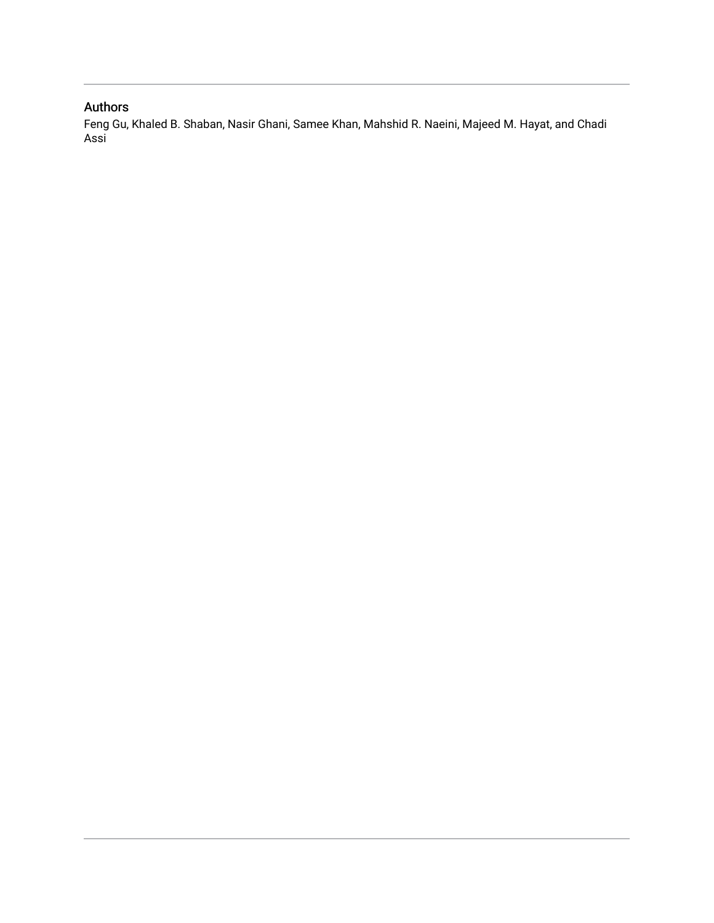### Authors

Feng Gu, Khaled B. Shaban, Nasir Ghani, Samee Khan, Mahshid R. Naeini, Majeed M. Hayat, and Chadi Assi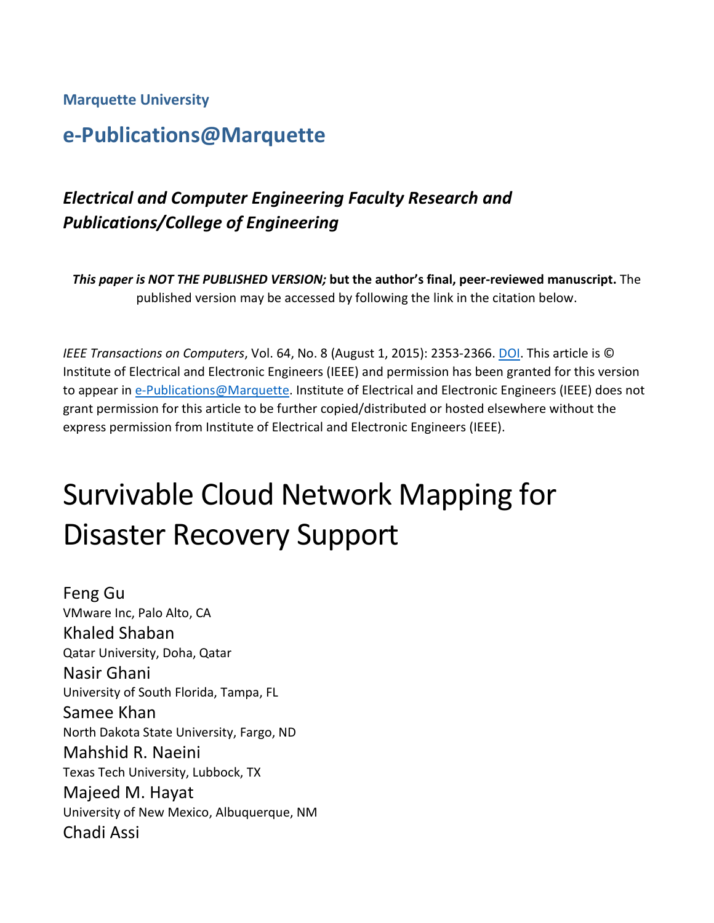**Marquette University**

# **e-Publications@Marquette**

# *Electrical and Computer Engineering Faculty Research and Publications/College of Engineering*

*This paper is NOT THE PUBLISHED VERSION;* **but the author's final, peer-reviewed manuscript.** The published version may be accessed by following the link in the citation below.

*IEEE Transactions on Computers*, Vol. 64, No. 8 (August 1, 2015): 2353-2366[. DOI.](https://doi.org/10.1109/TC.2014.2360542) This article is © Institute of Electrical and Electronic Engineers (IEEE) and permission has been granted for this version to appear in [e-Publications@Marquette.](http://epublications.marquette.edu/) Institute of Electrical and Electronic Engineers (IEEE) does not grant permission for this article to be further copied/distributed or hosted elsewhere without the express permission from Institute of Electrical and Electronic Engineers (IEEE).

# Survivable Cloud Network Mapping for Disaster Recovery Support

Feng Gu VMware Inc, Palo Alto, CA Khaled Shaban Qatar University, Doha, Qatar Nasir Ghani University of South Florida, Tampa, FL Samee Khan North Dakota State University, Fargo, ND Mahshid R. Naeini Texas Tech University, Lubbock, TX Majeed M. Hayat University of New Mexico, Albuquerque, NM Chadi Assi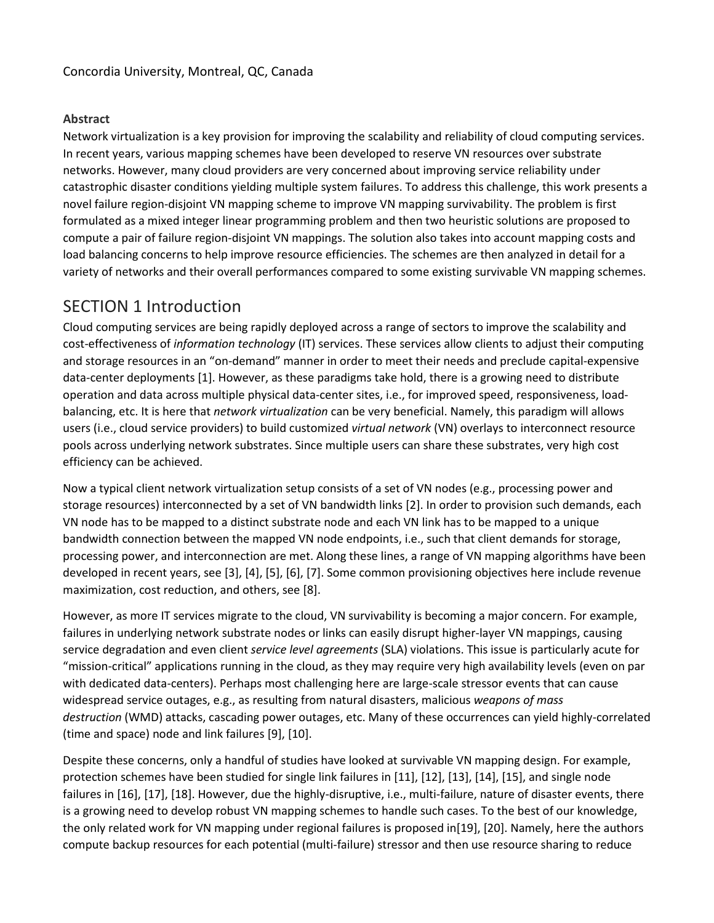#### **Abstract**

Network virtualization is a key provision for improving the scalability and reliability of cloud computing services. In recent years, various mapping schemes have been developed to reserve VN resources over substrate networks. However, many cloud providers are very concerned about improving service reliability under catastrophic disaster conditions yielding multiple system failures. To address this challenge, this work presents a novel failure region-disjoint VN mapping scheme to improve VN mapping survivability. The problem is first formulated as a mixed integer linear programming problem and then two heuristic solutions are proposed to compute a pair of failure region-disjoint VN mappings. The solution also takes into account mapping costs and load balancing concerns to help improve resource efficiencies. The schemes are then analyzed in detail for a variety of networks and their overall performances compared to some existing survivable VN mapping schemes.

## SECTION 1 Introduction

Cloud computing services are being rapidly deployed across a range of sectors to improve the scalability and cost-effectiveness of *information technology* (IT) services. These services allow clients to adjust their computing and storage resources in an "on-demand" manner in order to meet their needs and preclude capital-expensive data-center deployments [1]. However, as these paradigms take hold, there is a growing need to distribute operation and data across multiple physical data-center sites, i.e., for improved speed, responsiveness, loadbalancing, etc. It is here that *network virtualization* can be very beneficial. Namely, this paradigm will allows users (i.e., cloud service providers) to build customized *virtual network* (VN) overlays to interconnect resource pools across underlying network substrates. Since multiple users can share these substrates, very high cost efficiency can be achieved.

Now a typical client network virtualization setup consists of a set of VN nodes (e.g., processing power and storage resources) interconnected by a set of VN bandwidth links [2]. In order to provision such demands, each VN node has to be mapped to a distinct substrate node and each VN link has to be mapped to a unique bandwidth connection between the mapped VN node endpoints, i.e., such that client demands for storage, processing power, and interconnection are met. Along these lines, a range of VN mapping algorithms have been developed in recent years, see [3], [4], [5], [6], [7]. Some common provisioning objectives here include revenue maximization, cost reduction, and others, see [8].

However, as more IT services migrate to the cloud, VN survivability is becoming a major concern. For example, failures in underlying network substrate nodes or links can easily disrupt higher-layer VN mappings, causing service degradation and even client *service level agreements* (SLA) violations. This issue is particularly acute for "mission-critical" applications running in the cloud, as they may require very high availability levels (even on par with dedicated data-centers). Perhaps most challenging here are large-scale stressor events that can cause widespread service outages, e.g., as resulting from natural disasters, malicious *weapons of mass destruction* (WMD) attacks, cascading power outages, etc. Many of these occurrences can yield highly-correlated (time and space) node and link failures [9], [10].

Despite these concerns, only a handful of studies have looked at survivable VN mapping design. For example, protection schemes have been studied for single link failures in [11], [12], [13], [14], [15], and single node failures in [16], [17], [18]. However, due the highly-disruptive, i.e., multi-failure, nature of disaster events, there is a growing need to develop robust VN mapping schemes to handle such cases. To the best of our knowledge, the only related work for VN mapping under regional failures is proposed in[19], [20]. Namely, here the authors compute backup resources for each potential (multi-failure) stressor and then use resource sharing to reduce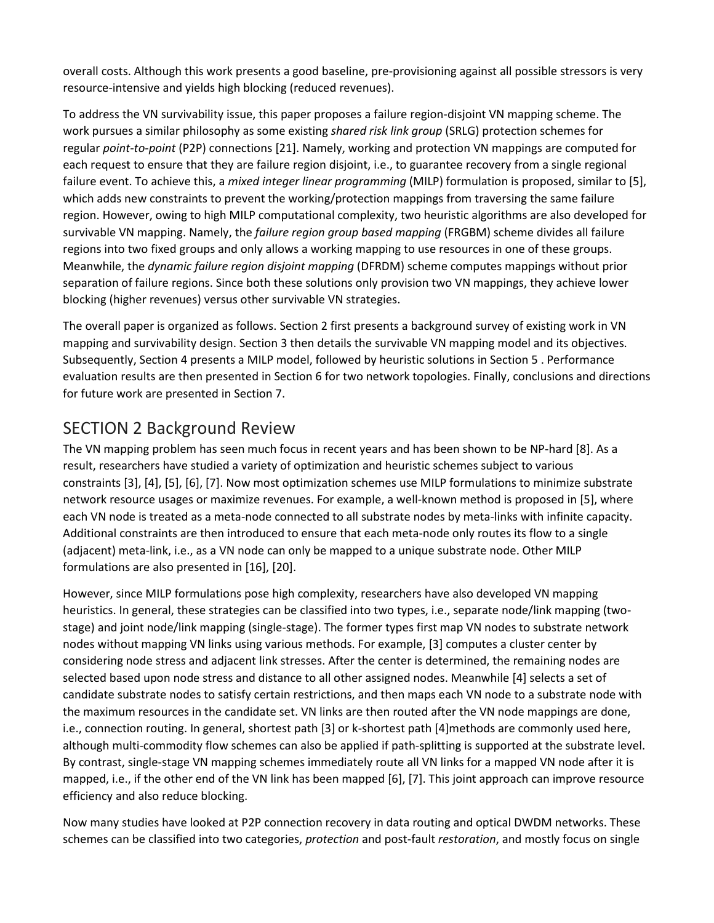overall costs. Although this work presents a good baseline, pre-provisioning against all possible stressors is very resource-intensive and yields high blocking (reduced revenues).

To address the VN survivability issue, this paper proposes a failure region-disjoint VN mapping scheme. The work pursues a similar philosophy as some existing *shared risk link group* (SRLG) protection schemes for regular *point-to-point* (P2P) connections [21]. Namely, working and protection VN mappings are computed for each request to ensure that they are failure region disjoint, i.e., to guarantee recovery from a single regional failure event. To achieve this, a *mixed integer linear programming* (MILP) formulation is proposed, similar to [5], which adds new constraints to prevent the working/protection mappings from traversing the same failure region. However, owing to high MILP computational complexity, two heuristic algorithms are also developed for survivable VN mapping. Namely, the *failure region group based mapping* (FRGBM) scheme divides all failure regions into two fixed groups and only allows a working mapping to use resources in one of these groups. Meanwhile, the *dynamic failure region disjoint mapping* (DFRDM) scheme computes mappings without prior separation of failure regions. Since both these solutions only provision two VN mappings, they achieve lower blocking (higher revenues) versus other survivable VN strategies.

The overall paper is organized as follows. Section 2 first presents a background survey of existing work in VN mapping and survivability design. Section 3 then details the survivable VN mapping model and its objectives. Subsequently, Section 4 presents a MILP model, followed by heuristic solutions in Section 5 . Performance evaluation results are then presented in Section 6 for two network topologies. Finally, conclusions and directions for future work are presented in Section 7.

## SECTION 2 Background Review

The VN mapping problem has seen much focus in recent years and has been shown to be NP-hard [8]. As a result, researchers have studied a variety of optimization and heuristic schemes subject to various constraints [3], [4], [5], [6], [7]. Now most optimization schemes use MILP formulations to minimize substrate network resource usages or maximize revenues. For example, a well-known method is proposed in [5], where each VN node is treated as a meta-node connected to all substrate nodes by meta-links with infinite capacity. Additional constraints are then introduced to ensure that each meta-node only routes its flow to a single (adjacent) meta-link, i.e., as a VN node can only be mapped to a unique substrate node. Other MILP formulations are also presented in [16], [20].

However, since MILP formulations pose high complexity, researchers have also developed VN mapping heuristics. In general, these strategies can be classified into two types, i.e., separate node/link mapping (twostage) and joint node/link mapping (single-stage). The former types first map VN nodes to substrate network nodes without mapping VN links using various methods. For example, [3] computes a cluster center by considering node stress and adjacent link stresses. After the center is determined, the remaining nodes are selected based upon node stress and distance to all other assigned nodes. Meanwhile [4] selects a set of candidate substrate nodes to satisfy certain restrictions, and then maps each VN node to a substrate node with the maximum resources in the candidate set. VN links are then routed after the VN node mappings are done, i.e., connection routing. In general, shortest path [3] or k-shortest path [4]methods are commonly used here, although multi-commodity flow schemes can also be applied if path-splitting is supported at the substrate level. By contrast, single-stage VN mapping schemes immediately route all VN links for a mapped VN node after it is mapped, i.e., if the other end of the VN link has been mapped [6], [7]. This joint approach can improve resource efficiency and also reduce blocking.

Now many studies have looked at P2P connection recovery in data routing and optical DWDM networks. These schemes can be classified into two categories, *protection* and post-fault *restoration*, and mostly focus on single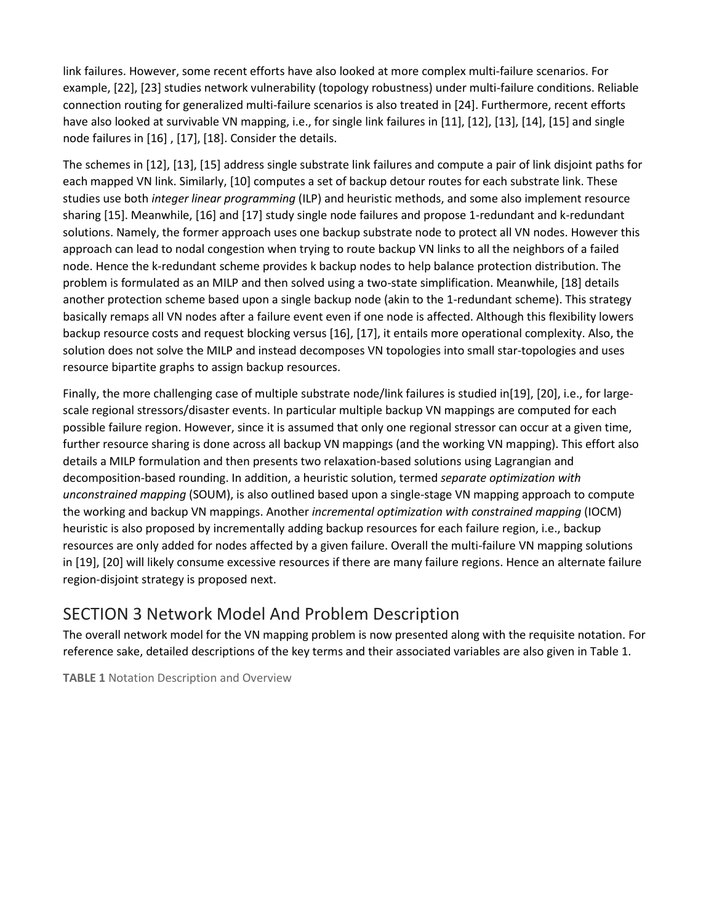link failures. However, some recent efforts have also looked at more complex multi-failure scenarios. For example, [22], [23] studies network vulnerability (topology robustness) under multi-failure conditions. Reliable connection routing for generalized multi-failure scenarios is also treated in [24]. Furthermore, recent efforts have also looked at survivable VN mapping, i.e., for single link failures in [11], [12], [13], [14], [15] and single node failures in [16] , [17], [18]. Consider the details.

The schemes in [12], [13], [15] address single substrate link failures and compute a pair of link disjoint paths for each mapped VN link. Similarly, [10] computes a set of backup detour routes for each substrate link. These studies use both *integer linear programming* (ILP) and heuristic methods, and some also implement resource sharing [15]. Meanwhile, [16] and [17] study single node failures and propose 1-redundant and k-redundant solutions. Namely, the former approach uses one backup substrate node to protect all VN nodes. However this approach can lead to nodal congestion when trying to route backup VN links to all the neighbors of a failed node. Hence the k-redundant scheme provides k backup nodes to help balance protection distribution. The problem is formulated as an MILP and then solved using a two-state simplification. Meanwhile, [18] details another protection scheme based upon a single backup node (akin to the 1-redundant scheme). This strategy basically remaps all VN nodes after a failure event even if one node is affected. Although this flexibility lowers backup resource costs and request blocking versus [16], [17], it entails more operational complexity. Also, the solution does not solve the MILP and instead decomposes VN topologies into small star-topologies and uses resource bipartite graphs to assign backup resources.

Finally, the more challenging case of multiple substrate node/link failures is studied in[19], [20], i.e., for largescale regional stressors/disaster events. In particular multiple backup VN mappings are computed for each possible failure region. However, since it is assumed that only one regional stressor can occur at a given time, further resource sharing is done across all backup VN mappings (and the working VN mapping). This effort also details a MILP formulation and then presents two relaxation-based solutions using Lagrangian and decomposition-based rounding. In addition, a heuristic solution, termed *separate optimization with unconstrained mapping* (SOUM), is also outlined based upon a single-stage VN mapping approach to compute the working and backup VN mappings. Another *incremental optimization with constrained mapping* (IOCM) heuristic is also proposed by incrementally adding backup resources for each failure region, i.e., backup resources are only added for nodes affected by a given failure. Overall the multi-failure VN mapping solutions in [19], [20] will likely consume excessive resources if there are many failure regions. Hence an alternate failure region-disjoint strategy is proposed next.

## SECTION 3 Network Model And Problem Description

The overall network model for the VN mapping problem is now presented along with the requisite notation. For reference sake, detailed descriptions of the key terms and their associated variables are also given in Table 1.

**TABLE 1** Notation Description and Overview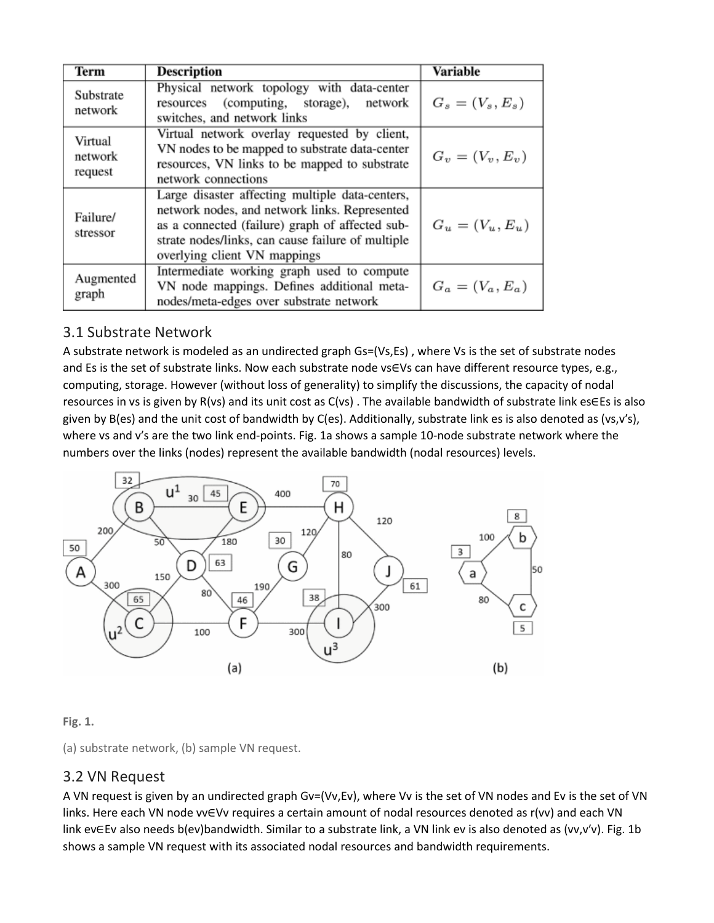| Term                          | Description                                                                                                                                                                                                                              | <b>Variable</b>    |
|-------------------------------|------------------------------------------------------------------------------------------------------------------------------------------------------------------------------------------------------------------------------------------|--------------------|
| Substrate<br>network          | Physical network topology with data-center<br>(computing, storage), network<br>resources<br>switches, and network links                                                                                                                  | $G_s = (V_s, E_s)$ |
| Virtual<br>network<br>request | Virtual network overlay requested by client,<br>VN nodes to be mapped to substrate data-center<br>resources, VN links to be mapped to substrate<br>network connections                                                                   | $G_v = (V_v, E_v)$ |
| Failure/<br>stressor          | Large disaster affecting multiple data-centers,<br>network nodes, and network links. Represented<br>as a connected (failure) graph of affected sub-<br>strate nodes/links, can cause failure of multiple<br>overlying client VN mappings | $G_u = (V_u, E_u)$ |
| Augmented<br>graph            | Intermediate working graph used to compute<br>VN node mappings. Defines additional meta-<br>nodes/meta-edges over substrate network                                                                                                      | $G_a = (V_a, E_a)$ |

## 3.1 Substrate Network

A substrate network is modeled as an undirected graph Gs=(Vs,Es) , where Vs is the set of substrate nodes and Es is the set of substrate links. Now each substrate node vs∈Vs can have different resource types, e.g., computing, storage. However (without loss of generality) to simplify the discussions, the capacity of nodal resources in vs is given by R(vs) and its unit cost as C(vs) . The available bandwidth of substrate link es∈Es is also given by B(es) and the unit cost of bandwidth by C(es). Additionally, substrate link es is also denoted as (vs,v′s), where vs and v′s are the two link end-points. Fig. 1a shows a sample 10-node substrate network where the numbers over the links (nodes) represent the available bandwidth (nodal resources) levels.



#### **Fig. 1.**

(a) substrate network, (b) sample VN request.

#### 3.2 VN Request

A VN request is given by an undirected graph Gv=(Vv,Ev), where Vv is the set of VN nodes and Ev is the set of VN links. Here each VN node vv∈Vv requires a certain amount of nodal resources denoted as r(vv) and each VN link ev∈Ev also needs b(ev)bandwidth. Similar to a substrate link, a VN link ev is also denoted as (vv,v′v). Fig. 1b shows a sample VN request with its associated nodal resources and bandwidth requirements.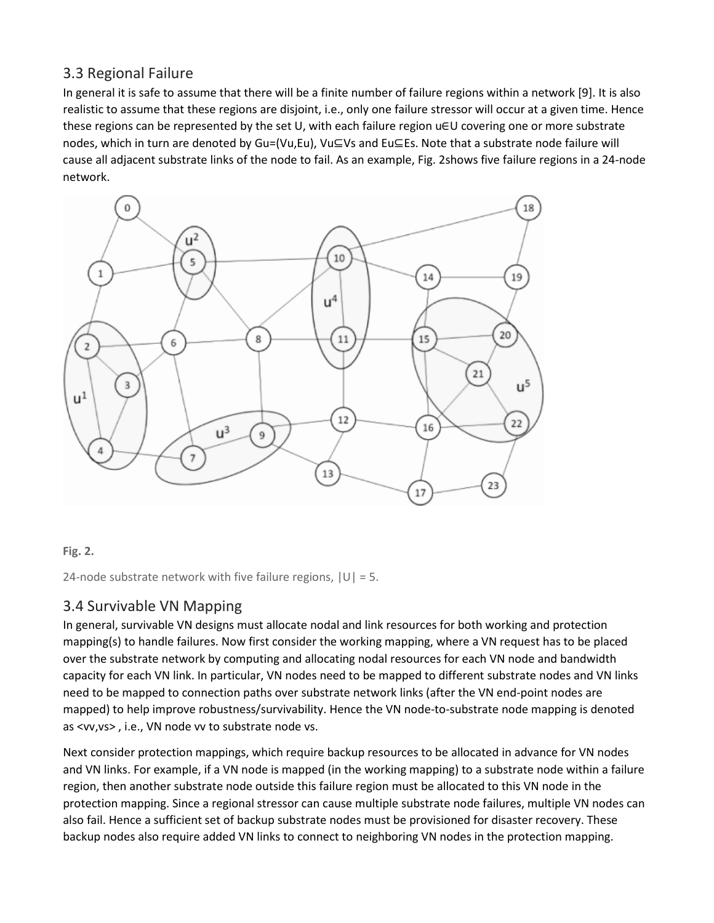## 3.3 Regional Failure

In general it is safe to assume that there will be a finite number of failure regions within a network [9]. It is also realistic to assume that these regions are disjoint, i.e., only one failure stressor will occur at a given time. Hence these regions can be represented by the set U, with each failure region u∈U covering one or more substrate nodes, which in turn are denoted by Gu=(Vu,Eu), Vu⊆Vs and Eu⊆Es. Note that a substrate node failure will cause all adjacent substrate links of the node to fail. As an example, Fig. 2shows five failure regions in a 24-node network.



#### **Fig. 2.**

24-node substrate network with five failure regions,  $|U| = 5$ .

## 3.4 Survivable VN Mapping

In general, survivable VN designs must allocate nodal and link resources for both working and protection mapping(s) to handle failures. Now first consider the working mapping, where a VN request has to be placed over the substrate network by computing and allocating nodal resources for each VN node and bandwidth capacity for each VN link. In particular, VN nodes need to be mapped to different substrate nodes and VN links need to be mapped to connection paths over substrate network links (after the VN end-point nodes are mapped) to help improve robustness/survivability. Hence the VN node-to-substrate node mapping is denoted as <vv,vs> , i.e., VN node vv to substrate node vs.

Next consider protection mappings, which require backup resources to be allocated in advance for VN nodes and VN links. For example, if a VN node is mapped (in the working mapping) to a substrate node within a failure region, then another substrate node outside this failure region must be allocated to this VN node in the protection mapping. Since a regional stressor can cause multiple substrate node failures, multiple VN nodes can also fail. Hence a sufficient set of backup substrate nodes must be provisioned for disaster recovery. These backup nodes also require added VN links to connect to neighboring VN nodes in the protection mapping.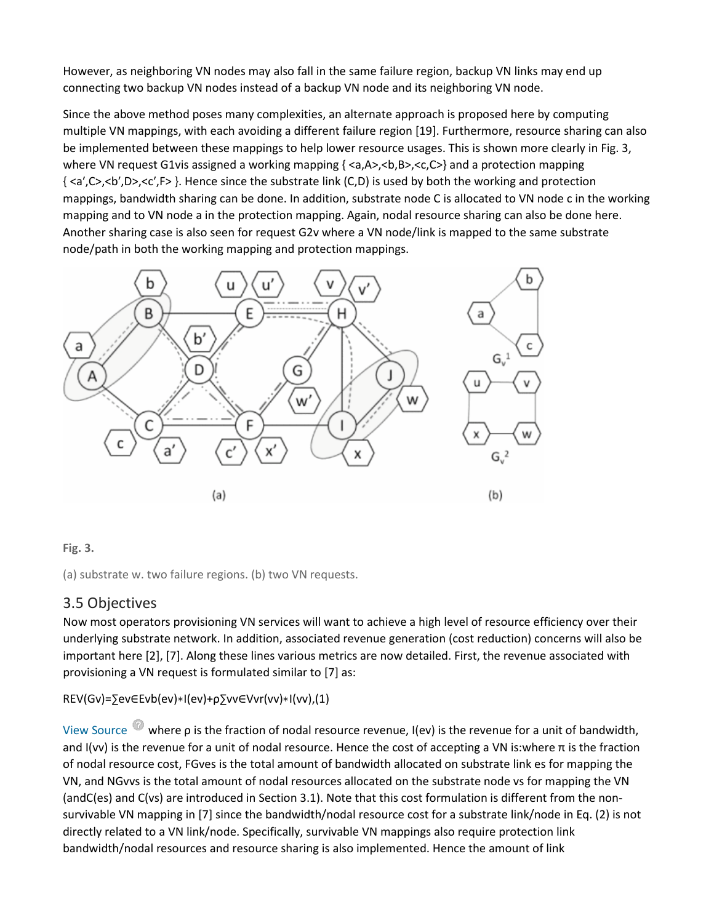However, as neighboring VN nodes may also fall in the same failure region, backup VN links may end up connecting two backup VN nodes instead of a backup VN node and its neighboring VN node.

Since the above method poses many complexities, an alternate approach is proposed here by computing multiple VN mappings, with each avoiding a different failure region [19]. Furthermore, resource sharing can also be implemented between these mappings to help lower resource usages. This is shown more clearly in Fig. 3, where VN request G1vis assigned a working mapping  $\{< a, A>, < b, B>, < c, C>\}$  and a protection mapping { <a′,C>,<b′,D>,<c′,F> }. Hence since the substrate link (C,D) is used by both the working and protection mappings, bandwidth sharing can be done. In addition, substrate node C is allocated to VN node c in the working mapping and to VN node a in the protection mapping. Again, nodal resource sharing can also be done here. Another sharing case is also seen for request G2v where a VN node/link is mapped to the same substrate node/path in both the working mapping and protection mappings.



#### **Fig. 3.**

(a) substrate w. two failure regions. (b) two VN requests.

## 3.5 Objectives

Now most operators provisioning VN services will want to achieve a high level of resource efficiency over their underlying substrate network. In addition, associated revenue generation (cost reduction) concerns will also be important here [2], [7]. Along these lines various metrics are now detailed. First, the revenue associated with provisioning a VN request is formulated similar to [7] as:

REV(Gv)=∑ev∈Evb(ev)∗I(ev)+ρ∑vv∈Vvr(vv)∗I(vv),(1)

View Source where ρ is the fraction of nodal resource revenue, I(ev) is the revenue for a unit of bandwidth, and I(vv) is the revenue for a unit of nodal resource. Hence the cost of accepting a VN is:where  $\pi$  is the fraction of nodal resource cost, FGves is the total amount of bandwidth allocated on substrate link es for mapping the VN, and NGvvs is the total amount of nodal resources allocated on the substrate node vs for mapping the VN (andC(es) and C(vs) are introduced in Section 3.1). Note that this cost formulation is different from the nonsurvivable VN mapping in [7] since the bandwidth/nodal resource cost for a substrate link/node in Eq. (2) is not directly related to a VN link/node. Specifically, survivable VN mappings also require protection link bandwidth/nodal resources and resource sharing is also implemented. Hence the amount of link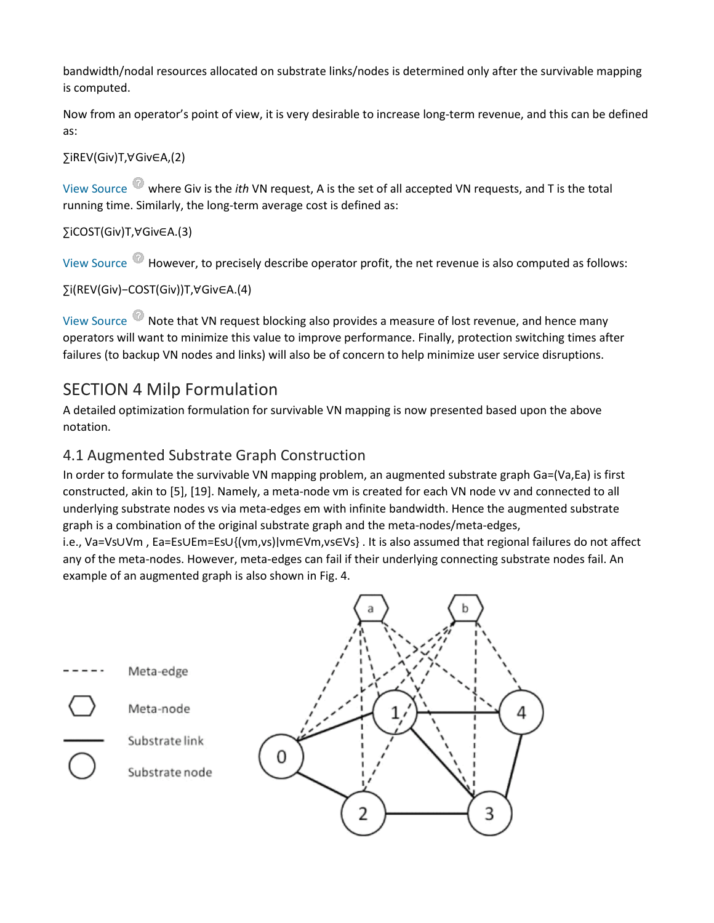bandwidth/nodal resources allocated on substrate links/nodes is determined only after the survivable mapping is computed.

Now from an operator's point of view, it is very desirable to increase long-term revenue, and this can be defined as:

∑iREV(Giv)T,∀Giv∈A,(2)

View Source where Giv is the *ith* VN request, A is the set of all accepted VN requests, and T is the total running time. Similarly, the long-term average cost is defined as:

∑iCOST(Giv)T,∀Giv∈A.(3)

View Source  $\bullet$  However, to precisely describe operator profit, the net revenue is also computed as follows:

∑i(REV(Giv)−COST(Giv))T,∀Giv∈A.(4)

View Source Note that VN request blocking also provides a measure of lost revenue, and hence many operators will want to minimize this value to improve performance. Finally, protection switching times after failures (to backup VN nodes and links) will also be of concern to help minimize user service disruptions.

## SECTION 4 Milp Formulation

A detailed optimization formulation for survivable VN mapping is now presented based upon the above notation.

## 4.1 Augmented Substrate Graph Construction

In order to formulate the survivable VN mapping problem, an augmented substrate graph Ga=(Va,Ea) is first constructed, akin to [5], [19]. Namely, a meta-node vm is created for each VN node vv and connected to all underlying substrate nodes vs via meta-edges em with infinite bandwidth. Hence the augmented substrate graph is a combination of the original substrate graph and the meta-nodes/meta-edges,

i.e., Va=Vs∪Vm , Ea=Es∪Em=Es∪{(vm,vs)∣vm∈Vm,vs∈Vs} . It is also assumed that regional failures do not affect any of the meta-nodes. However, meta-edges can fail if their underlying connecting substrate nodes fail. An example of an augmented graph is also shown in Fig. 4.

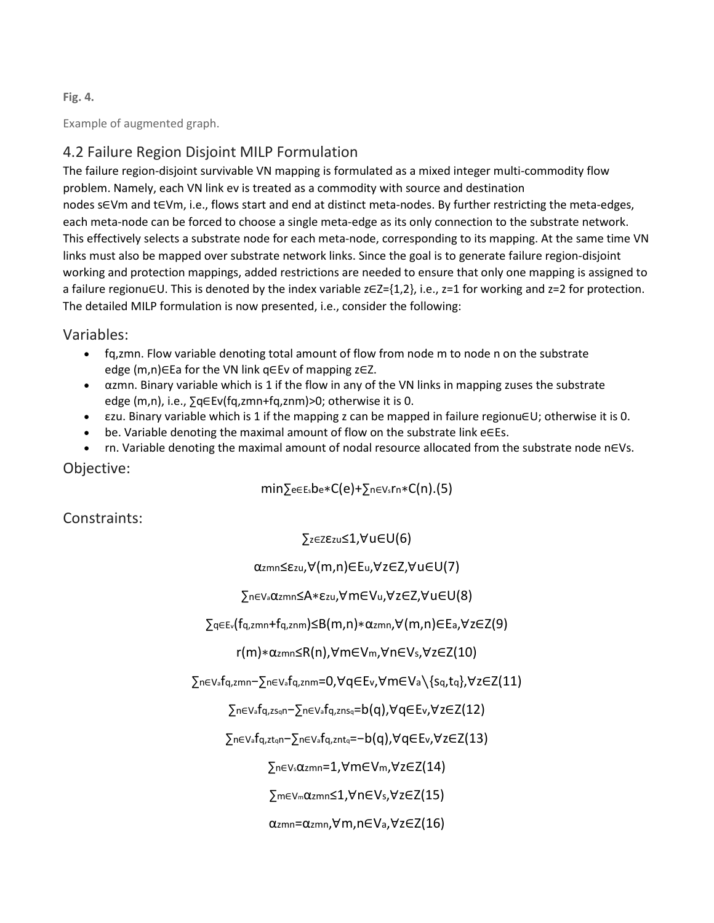#### **Fig. 4.**

Example of augmented graph.

## 4.2 Failure Region Disjoint MILP Formulation

The failure region-disjoint survivable VN mapping is formulated as a mixed integer multi-commodity flow problem. Namely, each VN link ev is treated as a commodity with source and destination nodes s∈Vm and t∈Vm, i.e., flows start and end at distinct meta-nodes. By further restricting the meta-edges, each meta-node can be forced to choose a single meta-edge as its only connection to the substrate network. This effectively selects a substrate node for each meta-node, corresponding to its mapping. At the same time VN links must also be mapped over substrate network links. Since the goal is to generate failure region-disjoint working and protection mappings, added restrictions are needed to ensure that only one mapping is assigned to a failure regionu∈U. This is denoted by the index variable z∈Z={1,2}, i.e., z=1 for working and z=2 for protection. The detailed MILP formulation is now presented, i.e., consider the following:

#### Variables:

- fq,zmn. Flow variable denoting total amount of flow from node m to node n on the substrate edge (m,n)∈Ea for the VN link q∈Ev of mapping z∈Z.
- αzmn. Binary variable which is 1 if the flow in any of the VN links in mapping zuses the substrate edge (m,n), i.e., ∑q∈Ev(fq,zmn+fq,znm)>0; otherwise it is 0.
- εzu. Binary variable which is 1 if the mapping z can be mapped in failure regionu∈U; otherwise it is 0.
- be. Variable denoting the maximal amount of flow on the substrate link e∈Es.
- rn. Variable denoting the maximal amount of nodal resource allocated from the substrate node n∈Vs.

Objective:

min∑e∈Esbe∗C(e)+∑n∈Vsrn∗C(n).(5)

Constraints:

∑z∈Zεzu≤1,∀u∈U(6)

αzmn≤εzu,∀(m,n)∈Eu,∀z∈Z,∀u∈U(7)

∑n∈Vaαzmn≤A∗εzu,∀m∈Vu,∀z∈Z,∀u∈U(8)

∑q∈Ev(fq,zmn+fq,znm)≤B(m,n)∗αzmn,∀(m,n)∈Ea,∀z∈Z(9)

r(m)∗αzmn≤R(n),∀m∈Vm,∀n∈Vs,∀z∈Z(10)

∑n∈Vafq,zmn−∑n∈Vafq,znm=0,∀q∈Ev,∀m∈Va∖{sq,tq},∀z∈Z(11)

∑n∈Vafq,zsqn−∑n∈Vafq,znsq=b(q),∀q∈Ev,∀z∈Z(12)

∑n∈Vafq,ztqn−∑n∈Vafq,zntq=−b(q),∀q∈Ev,∀z∈Z(13)

∑n∈Vsαzmn=1,∀m∈Vm,∀z∈Z(14)

∑m∈Vmαzmn≤1,∀n∈Vs,∀z∈Z(15)

αzmn=αzmn,∀m,n∈Va,∀z∈Z(16)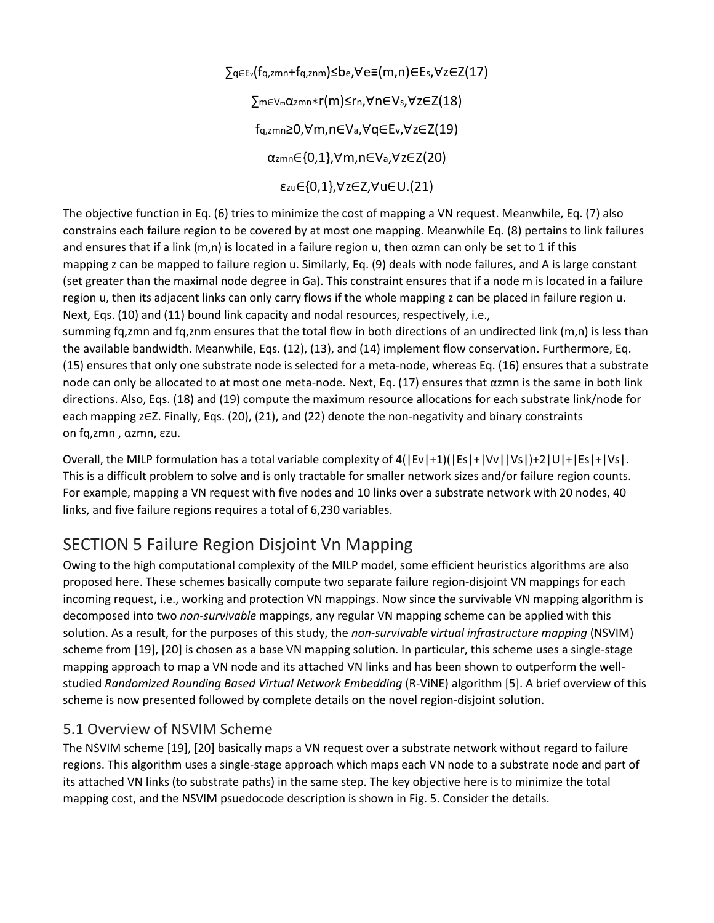∑q∈Ev(fq,zmn+fq,znm)≤be,∀e≡(m,n)∈Es,∀z∈Z(17) ∑m∈Vmαzmn∗r(m)≤rn,∀n∈Vs,∀z∈Z(18) fq,zmn≥0,∀m,n∈Va,∀q∈Ev,∀z∈Z(19) αzmn∈{0,1},∀m,n∈Va,∀z∈Z(20) εzu∈{0,1},∀z∈Z,∀u∈U.(21)

The objective function in Eq. (6) tries to minimize the cost of mapping a VN request. Meanwhile, Eq. (7) also constrains each failure region to be covered by at most one mapping. Meanwhile Eq. (8) pertains to link failures and ensures that if a link  $(m,n)$  is located in a failure region u, then  $\alpha$ zmn can only be set to 1 if this mapping z can be mapped to failure region u. Similarly, Eq. (9) deals with node failures, and A is large constant (set greater than the maximal node degree in Ga). This constraint ensures that if a node m is located in a failure region u, then its adjacent links can only carry flows if the whole mapping z can be placed in failure region u. Next, Eqs. (10) and (11) bound link capacity and nodal resources, respectively, i.e.,

summing fq,zmn and fq,znm ensures that the total flow in both directions of an undirected link (m,n) is less than the available bandwidth. Meanwhile, Eqs. (12), (13), and (14) implement flow conservation. Furthermore, Eq. (15) ensures that only one substrate node is selected for a meta-node, whereas Eq. (16) ensures that a substrate node can only be allocated to at most one meta-node. Next, Eq. (17) ensures that αzmn is the same in both link directions. Also, Eqs. (18) and (19) compute the maximum resource allocations for each substrate link/node for each mapping z∈Z. Finally, Eqs. (20), (21), and (22) denote the non-negativity and binary constraints on fq,zmn , αzmn, εzu.

Overall, the MILP formulation has a total variable complexity of 4(|Ev|+1)(|Es|+|Vv||Vs|)+2|U|+|Es|+|Vs|. This is a difficult problem to solve and is only tractable for smaller network sizes and/or failure region counts. For example, mapping a VN request with five nodes and 10 links over a substrate network with 20 nodes, 40 links, and five failure regions requires a total of 6,230 variables.

# SECTION 5 Failure Region Disjoint Vn Mapping

Owing to the high computational complexity of the MILP model, some efficient heuristics algorithms are also proposed here. These schemes basically compute two separate failure region-disjoint VN mappings for each incoming request, i.e., working and protection VN mappings. Now since the survivable VN mapping algorithm is decomposed into two *non-survivable* mappings, any regular VN mapping scheme can be applied with this solution. As a result, for the purposes of this study, the *non-survivable virtual infrastructure mapping* (NSVIM) scheme from [19], [20] is chosen as a base VN mapping solution. In particular, this scheme uses a single-stage mapping approach to map a VN node and its attached VN links and has been shown to outperform the wellstudied *Randomized Rounding Based Virtual Network Embedding* (R-ViNE) algorithm [5]. A brief overview of this scheme is now presented followed by complete details on the novel region-disjoint solution.

## 5.1 Overview of NSVIM Scheme

The NSVIM scheme [19], [20] basically maps a VN request over a substrate network without regard to failure regions. This algorithm uses a single-stage approach which maps each VN node to a substrate node and part of its attached VN links (to substrate paths) in the same step. The key objective here is to minimize the total mapping cost, and the NSVIM psuedocode description is shown in Fig. 5. Consider the details.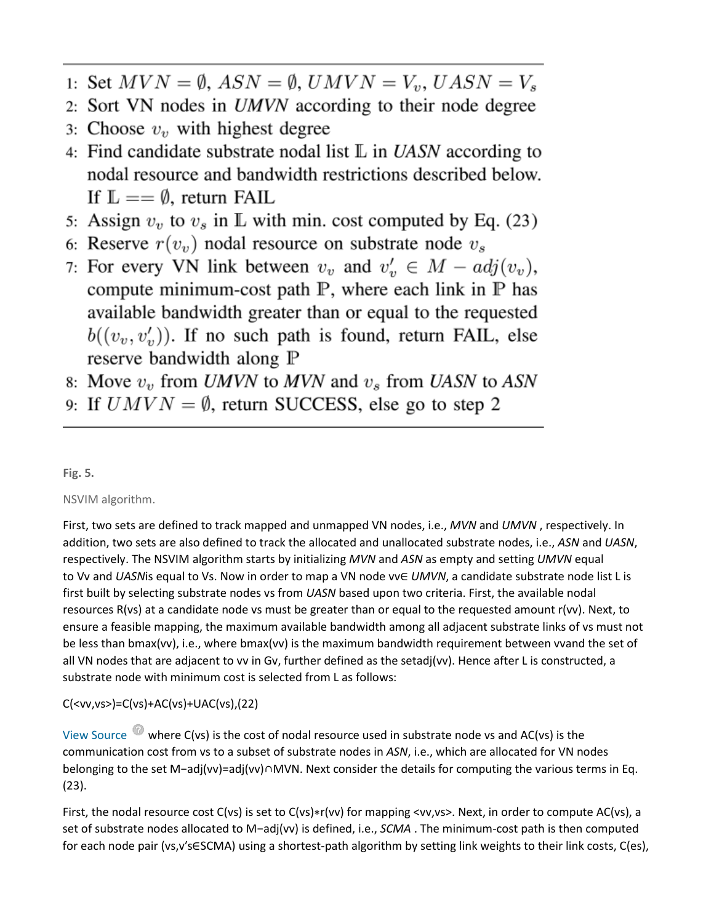- 1: Set  $MVN = \emptyset$ ,  $ASN = \emptyset$ ,  $UMVN = V_v$ ,  $UASN = V_s$
- 2: Sort VN nodes in *UMVN* according to their node degree
- 3: Choose  $v<sub>v</sub>$  with highest degree
- 4: Find candidate substrate nodal list  $\mathbb L$  in UASN according to nodal resource and bandwidth restrictions described below. If  $\mathbb{L} == \emptyset$ , return FAIL
- 5: Assign  $v_v$  to  $v_s$  in  $\mathbb L$  with min. cost computed by Eq. (23)
- 6: Reserve  $r(v_n)$  nodal resource on substrate node  $v_s$
- 7: For every VN link between  $v_v$  and  $v'_v \in M adj(v_v)$ , compute minimum-cost path  $P$ , where each link in  $P$  has available bandwidth greater than or equal to the requested  $b((v_v, v'_v))$ . If no such path is found, return FAIL, else reserve bandwidth along P
- 8: Move  $v_v$  from UMVN to MVN and  $v_s$  from UASN to ASN
- 9: If  $UMVN = \emptyset$ , return SUCCESS, else go to step 2

**Fig. 5.**

NSVIM algorithm.

First, two sets are defined to track mapped and unmapped VN nodes, i.e., *MVN* and *UMVN* , respectively. In addition, two sets are also defined to track the allocated and unallocated substrate nodes, i.e., *ASN* and *UASN*, respectively. The NSVIM algorithm starts by initializing *MVN* and *ASN* as empty and setting *UMVN* equal to Vv and *UASN*is equal to Vs. Now in order to map a VN node vv∈ *UMVN*, a candidate substrate node list L is first built by selecting substrate nodes vs from *UASN* based upon two criteria. First, the available nodal resources R(vs) at a candidate node vs must be greater than or equal to the requested amount r(vv). Next, to ensure a feasible mapping, the maximum available bandwidth among all adjacent substrate links of vs must not be less than bmax(vv), i.e., where bmax(vv) is the maximum bandwidth requirement between vvand the set of all VN nodes that are adjacent to vv in Gv, further defined as the setadj(vv). Hence after L is constructed, a substrate node with minimum cost is selected from L as follows:

C(<vv,vs>)=C(vs)+AC(vs)+UAC(vs),(22)

View Source  $\bullet$  where C(vs) is the cost of nodal resource used in substrate node vs and AC(vs) is the communication cost from vs to a subset of substrate nodes in *ASN*, i.e., which are allocated for VN nodes belonging to the set M−adj(vv)=adj(vv)∩MVN. Next consider the details for computing the various terms in Eq. (23).

First, the nodal resource cost C(vs) is set to C(vs)∗r(vv) for mapping <vv,vs>. Next, in order to compute AC(vs), a set of substrate nodes allocated to M−adj(vv) is defined, i.e., *SCMA* . The minimum-cost path is then computed for each node pair (vs,v′s∈SCMA) using a shortest-path algorithm by setting link weights to their link costs, C(es),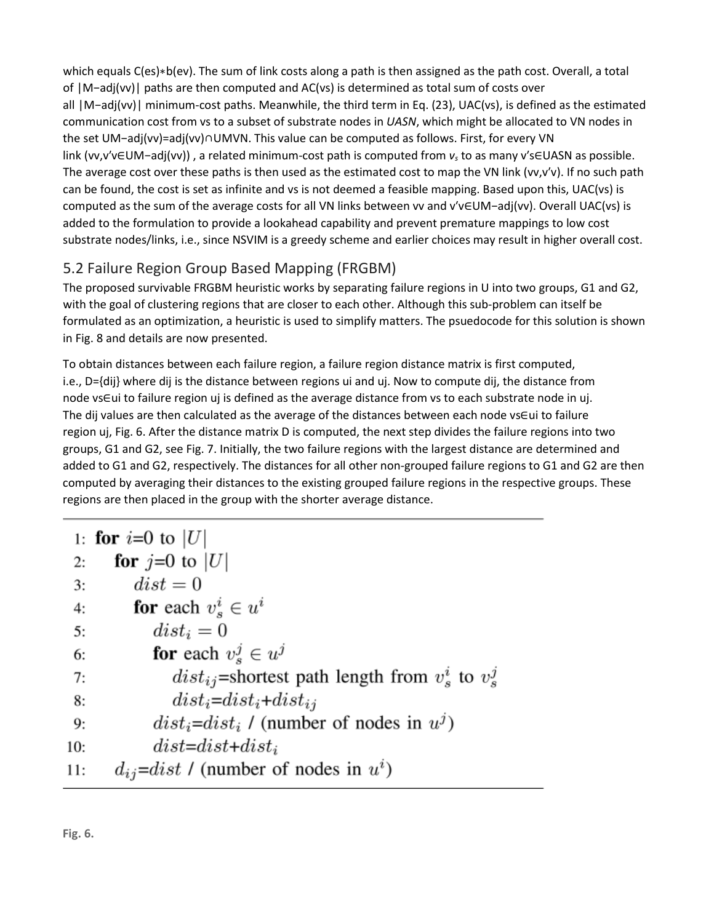which equals C(es)∗b(ev). The sum of link costs along a path is then assigned as the path cost. Overall, a total of |M−adj(vv)| paths are then computed and AC(vs) is determined as total sum of costs over all |M−adj(vv)| minimum-cost paths. Meanwhile, the third term in Eq. (23), UAC(vs), is defined as the estimated communication cost from vs to a subset of substrate nodes in *UASN*, which might be allocated to VN nodes in the set UM−adj(vv)=adj(vv)∩UMVN. This value can be computed as follows. First, for every VN link (vv,v′v∈UM−adj(vv)) , a related minimum-cost path is computed from *vs* to as many v′s∈UASN as possible. The average cost over these paths is then used as the estimated cost to map the VN link (vv,v'v). If no such path can be found, the cost is set as infinite and vs is not deemed a feasible mapping. Based upon this, UAC(vs) is computed as the sum of the average costs for all VN links between vv and v′v∈UM−adj(vv). Overall UAC(vs) is added to the formulation to provide a lookahead capability and prevent premature mappings to low cost substrate nodes/links, i.e., since NSVIM is a greedy scheme and earlier choices may result in higher overall cost.

## 5.2 Failure Region Group Based Mapping (FRGBM)

The proposed survivable FRGBM heuristic works by separating failure regions in U into two groups, G1 and G2, with the goal of clustering regions that are closer to each other. Although this sub-problem can itself be formulated as an optimization, a heuristic is used to simplify matters. The psuedocode for this solution is shown in Fig. 8 and details are now presented.

To obtain distances between each failure region, a failure region distance matrix is first computed, i.e., D={dij} where dij is the distance between regions ui and uj. Now to compute dij, the distance from node vs∈ui to failure region uj is defined as the average distance from vs to each substrate node in uj. The dij values are then calculated as the average of the distances between each node vs∈ui to failure region uj, Fig. 6. After the distance matrix D is computed, the next step divides the failure regions into two groups, G1 and G2, see Fig. 7. Initially, the two failure regions with the largest distance are determined and added to G1 and G2, respectively. The distances for all other non-grouped failure regions to G1 and G2 are then computed by averaging their distances to the existing grouped failure regions in the respective groups. These regions are then placed in the group with the shorter average distance.

|     | 1: <b>for</b> $i=0$ to  U                                 |
|-----|-----------------------------------------------------------|
| 2:  | for $j=0$ to $ U $                                        |
| 3:  | $dist = 0$                                                |
| 4:  | for each $v_s^i \in u^i$                                  |
| 5:  | $dist_i = 0$                                              |
| 6:  | for each $v_*^j \in u^j$                                  |
| 7:  | $dist_{ij}$ =shortest path length from $v_s^i$ to $v_s^j$ |
| 8:  | $dist_i = dist_i + dist_{ij}$                             |
| 9:  | $dist_i = dist_i$ / (number of nodes in $u^j$ )           |
| 10: | $dist = dist + dist + i$                                  |
| 11: | $d_{ij}$ =dist / (number of nodes in $u^i$ )              |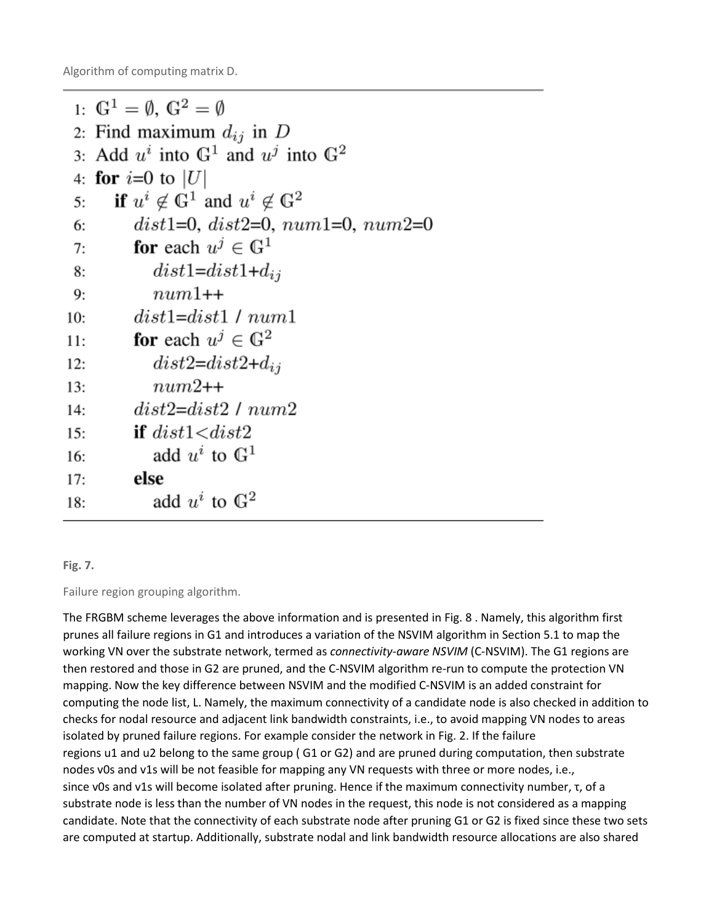Algorithm of computing matrix D.

```
1: \mathbb{G}^1 = \emptyset, \mathbb{G}^2 = \emptyset2: Find maximum d_{ij} in D
 3: Add u^i into \mathbb{G}^1 and u^j into \mathbb{G}^24: for i=0 to |U|if u^i \notin \mathbb{G}^1 and u^i \notin \mathbb{G}^25:dist1=0, dist2=0, num1=0, num2=06:
           for each u^j \in \mathbb{G}^17:dist1 = dist1 + d_{ij}8:num1++9:dist1 = dist1/num110:for each u^j \in \mathbb{G}^211:dist2 = dist2 + d_{ij}12:num2++13:dist2 = dist2 / num214<sup>·</sup>if dist1 < dist215:add u^i to \mathbb{G}^116:else
17:add u^i to \mathbb{G}^218:
```
#### **Fig. 7.**

Failure region grouping algorithm.

The FRGBM scheme leverages the above information and is presented in Fig. 8 . Namely, this algorithm first prunes all failure regions in G1 and introduces a variation of the NSVIM algorithm in Section 5.1 to map the working VN over the substrate network, termed as *connectivity-aware NSVIM* (C-NSVIM). The G1 regions are then restored and those in G2 are pruned, and the C-NSVIM algorithm re-run to compute the protection VN mapping. Now the key difference between NSVIM and the modified C-NSVIM is an added constraint for computing the node list, L. Namely, the maximum connectivity of a candidate node is also checked in addition to checks for nodal resource and adjacent link bandwidth constraints, i.e., to avoid mapping VN nodes to areas isolated by pruned failure regions. For example consider the network in Fig. 2. If the failure regions u1 and u2 belong to the same group ( G1 or G2) and are pruned during computation, then substrate nodes v0s and v1s will be not feasible for mapping any VN requests with three or more nodes, i.e., since v0s and v1s will become isolated after pruning. Hence if the maximum connectivity number, τ, of a substrate node is less than the number of VN nodes in the request, this node is not considered as a mapping candidate. Note that the connectivity of each substrate node after pruning G1 or G2 is fixed since these two sets are computed at startup. Additionally, substrate nodal and link bandwidth resource allocations are also shared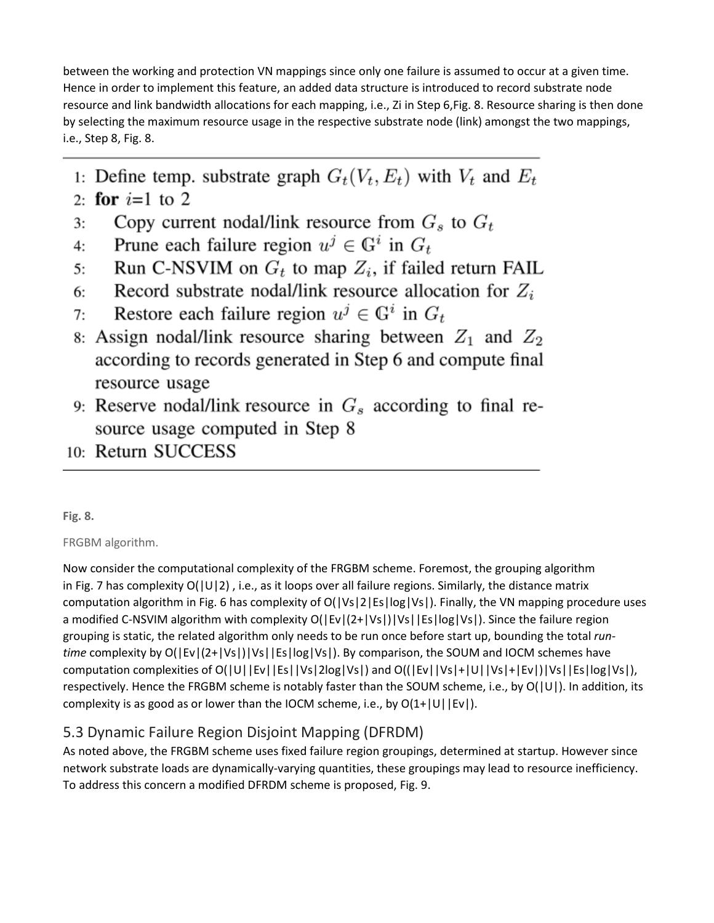between the working and protection VN mappings since only one failure is assumed to occur at a given time. Hence in order to implement this feature, an added data structure is introduced to record substrate node resource and link bandwidth allocations for each mapping, i.e., Zi in Step 6,Fig. 8. Resource sharing is then done by selecting the maximum resource usage in the respective substrate node (link) amongst the two mappings, i.e., Step 8, Fig. 8.

- 1: Define temp. substrate graph  $G_t(V_t, E_t)$  with  $V_t$  and  $E_t$
- 2: for  $i=1$  to 2
- Copy current nodal/link resource from  $G_s$  to  $G_t$  $3:$
- Prune each failure region  $u^j \in \mathbb{G}^i$  in  $G_t$ 4:
- Run C-NSVIM on  $G_t$  to map  $Z_i$ , if failed return FAIL  $5:$
- Record substrate nodal/link resource allocation for  $Z_i$ 6:
- Restore each failure region  $u^j \in \mathbb{G}^i$  in  $G_t$  $7:$
- 8: Assign nodal/link resource sharing between  $Z_1$  and  $Z_2$ according to records generated in Step 6 and compute final resource usage
- 9: Reserve nodal/link resource in  $G_s$  according to final resource usage computed in Step 8
- 10: Return SUCCESS

## **Fig. 8.**

## FRGBM algorithm.

Now consider the computational complexity of the FRGBM scheme. Foremost, the grouping algorithm in Fig. 7 has complexity  $O(|U|2)$ , i.e., as it loops over all failure regions. Similarly, the distance matrix computation algorithm in Fig. 6 has complexity of O(|Vs|2|Es|log|Vs|). Finally, the VN mapping procedure uses a modified C-NSVIM algorithm with complexity O(|Ev|(2+|Vs|)|Vs||Es|log|Vs|). Since the failure region grouping is static, the related algorithm only needs to be run once before start up, bounding the total *runtime* complexity by O(|Ev|(2+|Vs|)|Vs||Es|log|Vs|). By comparison, the SOUM and IOCM schemes have computation complexities of O(|U||Ev||Es||Vs|2log|Vs|) and O((|Ev||Vs|+|U||Vs|+|Ev|)|Vs||Es|log|Vs|), respectively. Hence the FRGBM scheme is notably faster than the SOUM scheme, i.e., by O(|U|). In addition, its complexity is as good as or lower than the IOCM scheme, i.e., by  $O(1+|U||Ev|)$ .

## 5.3 Dynamic Failure Region Disjoint Mapping (DFRDM)

As noted above, the FRGBM scheme uses fixed failure region groupings, determined at startup. However since network substrate loads are dynamically-varying quantities, these groupings may lead to resource inefficiency. To address this concern a modified DFRDM scheme is proposed, Fig. 9.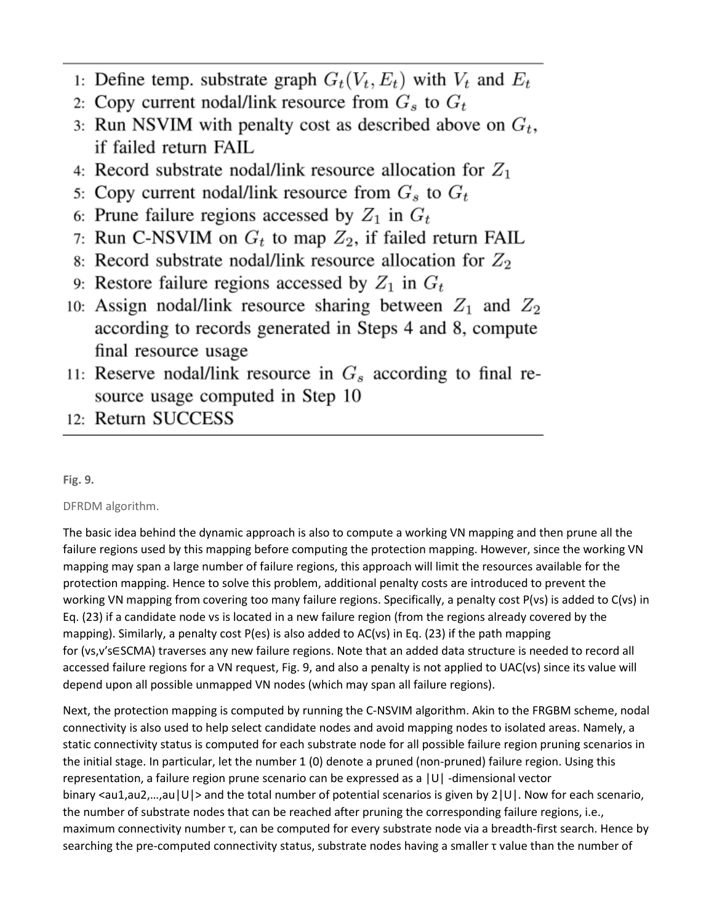- 1: Define temp. substrate graph  $G_t(V_t, E_t)$  with  $V_t$  and  $E_t$
- 2: Copy current nodal/link resource from  $G_s$  to  $G_t$
- 3: Run NSVIM with penalty cost as described above on  $G_t$ , if failed return FAIL
- 4: Record substrate nodal/link resource allocation for  $Z_1$
- 5: Copy current nodal/link resource from  $G_s$  to  $G_t$
- 6: Prune failure regions accessed by  $Z_1$  in  $G_t$
- 7: Run C-NSVIM on  $G_t$  to map  $Z_2$ , if failed return FAIL
- 8: Record substrate nodal/link resource allocation for  $Z_2$
- 9: Restore failure regions accessed by  $Z_1$  in  $G_t$
- 10: Assign nodal/link resource sharing between  $Z_1$  and  $Z_2$ according to records generated in Steps 4 and 8, compute final resource usage
- 11: Reserve nodal/link resource in  $G_s$  according to final resource usage computed in Step 10
- 12: Return SUCCESS

## **Fig. 9.**

## DFRDM algorithm.

The basic idea behind the dynamic approach is also to compute a working VN mapping and then prune all the failure regions used by this mapping before computing the protection mapping. However, since the working VN mapping may span a large number of failure regions, this approach will limit the resources available for the protection mapping. Hence to solve this problem, additional penalty costs are introduced to prevent the working VN mapping from covering too many failure regions. Specifically, a penalty cost P(vs) is added to C(vs) in Eq. (23) if a candidate node vs is located in a new failure region (from the regions already covered by the mapping). Similarly, a penalty cost P(es) is also added to AC(vs) in Eq. (23) if the path mapping for (vs,v′s∈SCMA) traverses any new failure regions. Note that an added data structure is needed to record all accessed failure regions for a VN request, Fig. 9, and also a penalty is not applied to UAC(vs) since its value will depend upon all possible unmapped VN nodes (which may span all failure regions).

Next, the protection mapping is computed by running the C-NSVIM algorithm. Akin to the FRGBM scheme, nodal connectivity is also used to help select candidate nodes and avoid mapping nodes to isolated areas. Namely, a static connectivity status is computed for each substrate node for all possible failure region pruning scenarios in the initial stage. In particular, let the number 1 (0) denote a pruned (non-pruned) failure region. Using this representation, a failure region prune scenario can be expressed as a |U| -dimensional vector binary <au1,au2,...,au|U|> and the total number of potential scenarios is given by 2|U|. Now for each scenario, the number of substrate nodes that can be reached after pruning the corresponding failure regions, i.e., maximum connectivity number τ, can be computed for every substrate node via a breadth-first search. Hence by searching the pre-computed connectivity status, substrate nodes having a smaller τ value than the number of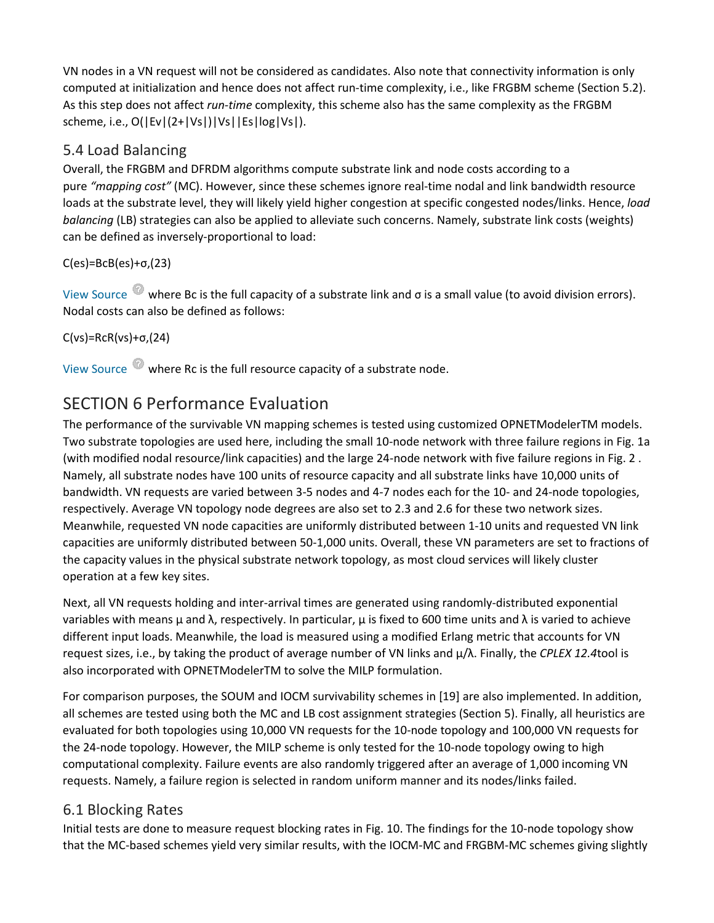VN nodes in a VN request will not be considered as candidates. Also note that connectivity information is only computed at initialization and hence does not affect run-time complexity, i.e., like FRGBM scheme (Section 5.2). As this step does not affect *run-time* complexity, this scheme also has the same complexity as the FRGBM scheme, i.e., O(|Ev|(2+|Vs|)|Vs||Es|log|Vs|).

## 5.4 Load Balancing

Overall, the FRGBM and DFRDM algorithms compute substrate link and node costs according to a pure *"mapping cost"* (MC). However, since these schemes ignore real-time nodal and link bandwidth resource loads at the substrate level, they will likely yield higher congestion at specific congested nodes/links. Hence, *load balancing* (LB) strategies can also be applied to alleviate such concerns. Namely, substrate link costs (weights) can be defined as inversely-proportional to load:

### C(es)=BcB(es)+σ,(23)

View Source where Bc is the full capacity of a substrate link and σ is a small value (to avoid division errors). Nodal costs can also be defined as follows:

C(vs)=RcR(vs)+σ,(24)

View Source where Rc is the full resource capacity of a substrate node.

## SECTION 6 Performance Evaluation

The performance of the survivable VN mapping schemes is tested using customized OPNETModelerTM models. Two substrate topologies are used here, including the small 10-node network with three failure regions in Fig. 1a (with modified nodal resource/link capacities) and the large 24-node network with five failure regions in Fig. 2 . Namely, all substrate nodes have 100 units of resource capacity and all substrate links have 10,000 units of bandwidth. VN requests are varied between 3-5 nodes and 4-7 nodes each for the 10- and 24-node topologies, respectively. Average VN topology node degrees are also set to 2.3 and 2.6 for these two network sizes. Meanwhile, requested VN node capacities are uniformly distributed between 1-10 units and requested VN link capacities are uniformly distributed between 50-1,000 units. Overall, these VN parameters are set to fractions of the capacity values in the physical substrate network topology, as most cloud services will likely cluster operation at a few key sites.

Next, all VN requests holding and inter-arrival times are generated using randomly-distributed exponential variables with means μ and λ, respectively. In particular, μ is fixed to 600 time units and λ is varied to achieve different input loads. Meanwhile, the load is measured using a modified Erlang metric that accounts for VN request sizes, i.e., by taking the product of average number of VN links and μ/λ. Finally, the *CPLEX 12.4*tool is also incorporated with OPNETModelerTM to solve the MILP formulation.

For comparison purposes, the SOUM and IOCM survivability schemes in [19] are also implemented. In addition, all schemes are tested using both the MC and LB cost assignment strategies (Section 5). Finally, all heuristics are evaluated for both topologies using 10,000 VN requests for the 10-node topology and 100,000 VN requests for the 24-node topology. However, the MILP scheme is only tested for the 10-node topology owing to high computational complexity. Failure events are also randomly triggered after an average of 1,000 incoming VN requests. Namely, a failure region is selected in random uniform manner and its nodes/links failed.

## 6.1 Blocking Rates

Initial tests are done to measure request blocking rates in Fig. 10. The findings for the 10-node topology show that the MC-based schemes yield very similar results, with the IOCM-MC and FRGBM-MC schemes giving slightly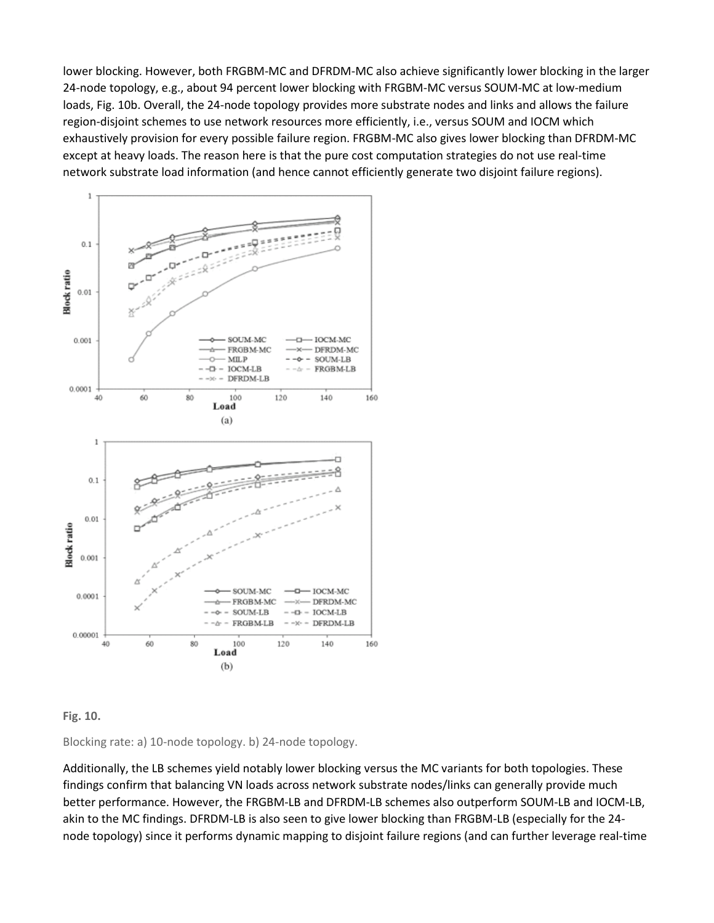lower blocking. However, both FRGBM-MC and DFRDM-MC also achieve significantly lower blocking in the larger 24-node topology, e.g., about 94 percent lower blocking with FRGBM-MC versus SOUM-MC at low-medium loads, Fig. 10b. Overall, the 24-node topology provides more substrate nodes and links and allows the failure region-disjoint schemes to use network resources more efficiently, i.e., versus SOUM and IOCM which exhaustively provision for every possible failure region. FRGBM-MC also gives lower blocking than DFRDM-MC except at heavy loads. The reason here is that the pure cost computation strategies do not use real-time network substrate load information (and hence cannot efficiently generate two disjoint failure regions).



**Fig. 10.**

Blocking rate: a) 10-node topology. b) 24-node topology.

Additionally, the LB schemes yield notably lower blocking versus the MC variants for both topologies. These findings confirm that balancing VN loads across network substrate nodes/links can generally provide much better performance. However, the FRGBM-LB and DFRDM-LB schemes also outperform SOUM-LB and IOCM-LB, akin to the MC findings. DFRDM-LB is also seen to give lower blocking than FRGBM-LB (especially for the 24 node topology) since it performs dynamic mapping to disjoint failure regions (and can further leverage real-time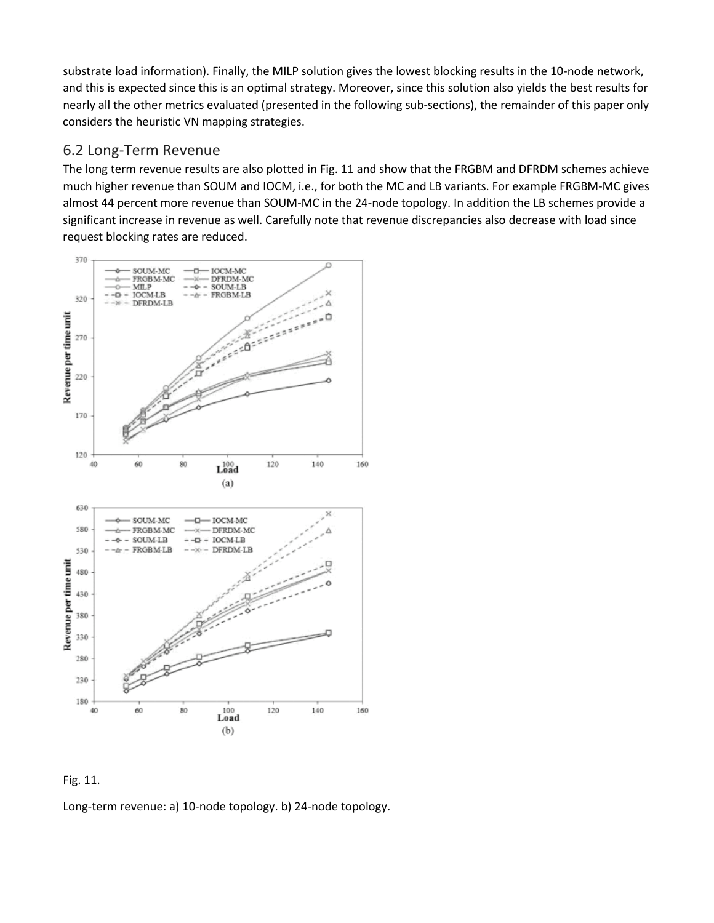substrate load information). Finally, the MILP solution gives the lowest blocking results in the 10-node network, and this is expected since this is an optimal strategy. Moreover, since this solution also yields the best results for nearly all the other metrics evaluated (presented in the following sub-sections), the remainder of this paper only considers the heuristic VN mapping strategies.

#### 6.2 Long-Term Revenue

The long term revenue results are also plotted in Fig. 11 and show that the FRGBM and DFRDM schemes achieve much higher revenue than SOUM and IOCM, i.e., for both the MC and LB variants. For example FRGBM-MC gives almost 44 percent more revenue than SOUM-MC in the 24-node topology. In addition the LB schemes provide a significant increase in revenue as well. Carefully note that revenue discrepancies also decrease with load since request blocking rates are reduced.





Long-term revenue: a) 10-node topology. b) 24-node topology.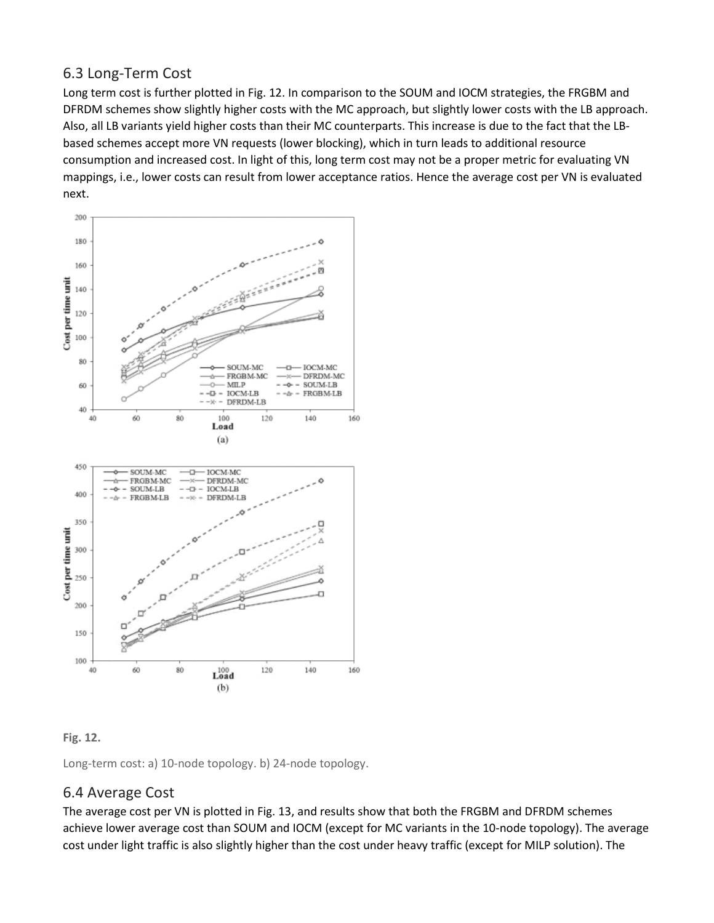## 6.3 Long-Term Cost

Long term cost is further plotted in Fig. 12. In comparison to the SOUM and IOCM strategies, the FRGBM and DFRDM schemes show slightly higher costs with the MC approach, but slightly lower costs with the LB approach. Also, all LB variants yield higher costs than their MC counterparts. This increase is due to the fact that the LBbased schemes accept more VN requests (lower blocking), which in turn leads to additional resource consumption and increased cost. In light of this, long term cost may not be a proper metric for evaluating VN mappings, i.e., lower costs can result from lower acceptance ratios. Hence the average cost per VN is evaluated next.



#### **Fig. 12.**

Long-term cost: a) 10-node topology. b) 24-node topology.

## 6.4 Average Cost

The average cost per VN is plotted in Fig. 13, and results show that both the FRGBM and DFRDM schemes achieve lower average cost than SOUM and IOCM (except for MC variants in the 10-node topology). The average cost under light traffic is also slightly higher than the cost under heavy traffic (except for MILP solution). The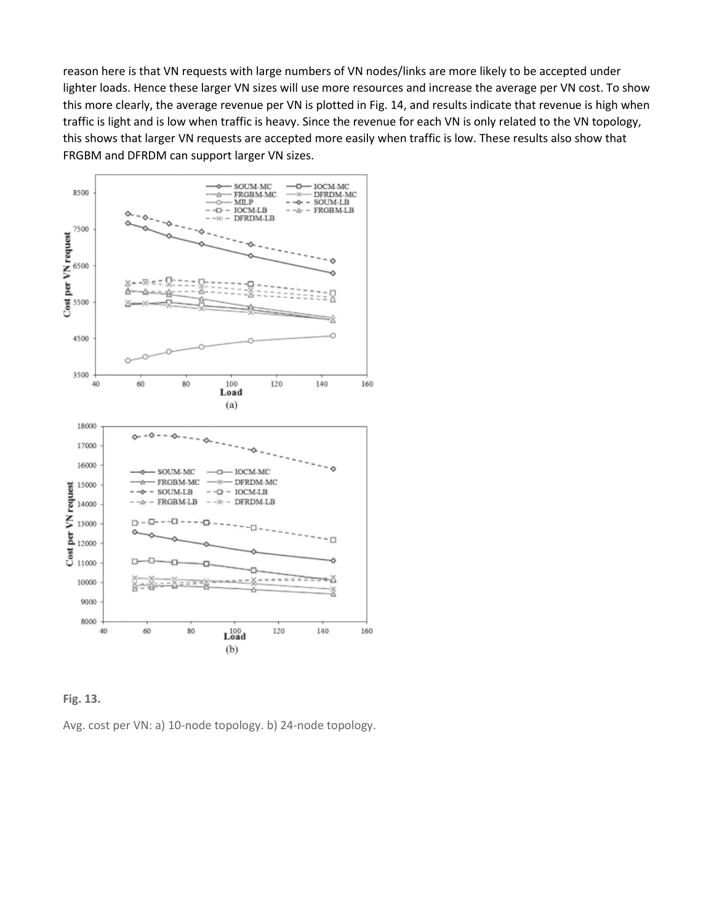reason here is that VN requests with large numbers of VN nodes/links are more likely to be accepted under lighter loads. Hence these larger VN sizes will use more resources and increase the average per VN cost. To show this more clearly, the average revenue per VN is plotted in Fig. 14, and results indicate that revenue is high when traffic is light and is low when traffic is heavy. Since the revenue for each VN is only related to the VN topology, this shows that larger VN requests are accepted more easily when traffic is low. These results also show that FRGBM and DFRDM can support larger VN sizes.





Avg. cost per VN: a) 10-node topology. b) 24-node topology.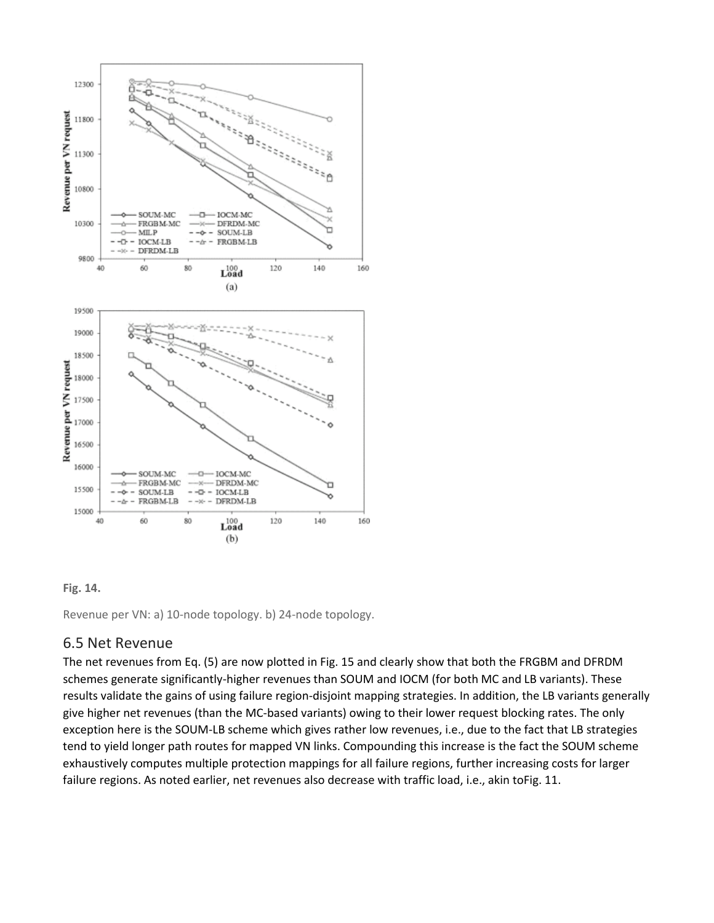

#### **Fig. 14.**

Revenue per VN: a) 10-node topology. b) 24-node topology.

#### 6.5 Net Revenue

The net revenues from Eq. (5) are now plotted in Fig. 15 and clearly show that both the FRGBM and DFRDM schemes generate significantly-higher revenues than SOUM and IOCM (for both MC and LB variants). These results validate the gains of using failure region-disjoint mapping strategies. In addition, the LB variants generally give higher net revenues (than the MC-based variants) owing to their lower request blocking rates. The only exception here is the SOUM-LB scheme which gives rather low revenues, i.e., due to the fact that LB strategies tend to yield longer path routes for mapped VN links. Compounding this increase is the fact the SOUM scheme exhaustively computes multiple protection mappings for all failure regions, further increasing costs for larger failure regions. As noted earlier, net revenues also decrease with traffic load, i.e., akin toFig. 11.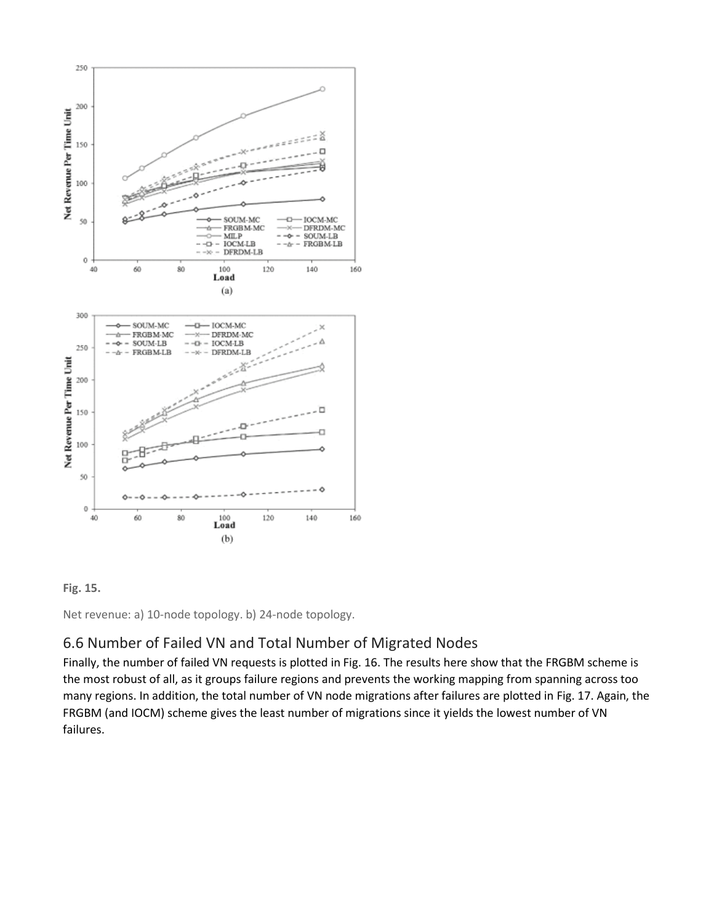



Net revenue: a) 10-node topology. b) 24-node topology.

## 6.6 Number of Failed VN and Total Number of Migrated Nodes

Finally, the number of failed VN requests is plotted in Fig. 16. The results here show that the FRGBM scheme is the most robust of all, as it groups failure regions and prevents the working mapping from spanning across too many regions. In addition, the total number of VN node migrations after failures are plotted in Fig. 17. Again, the FRGBM (and IOCM) scheme gives the least number of migrations since it yields the lowest number of VN failures.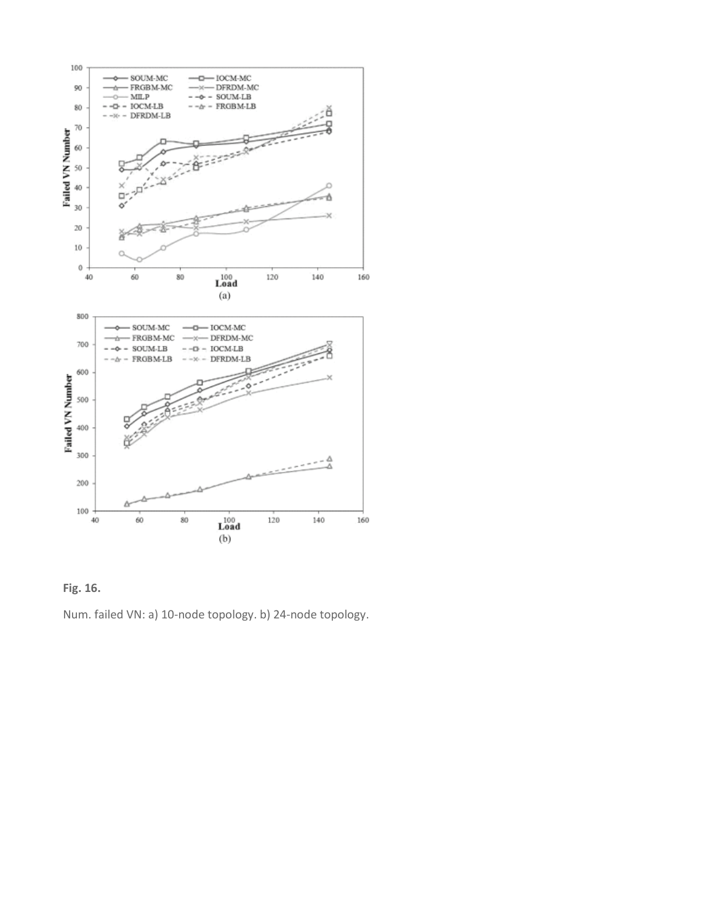



Num. failed VN: a) 10-node topology. b) 24-node topology.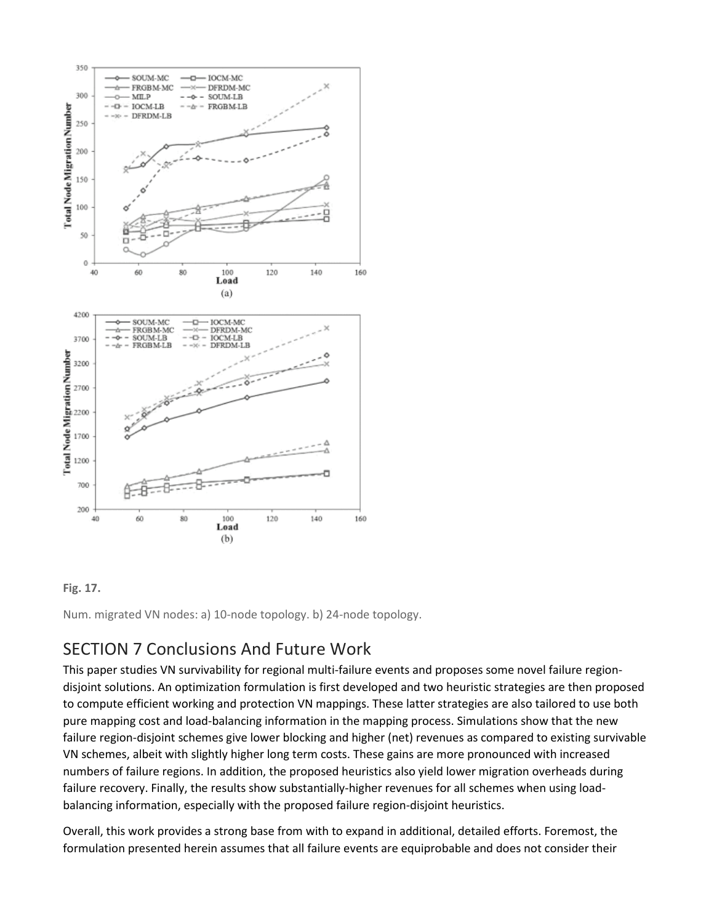

#### **Fig. 17.**

Num. migrated VN nodes: a) 10-node topology. b) 24-node topology.

## SECTION 7 Conclusions And Future Work

This paper studies VN survivability for regional multi-failure events and proposes some novel failure regiondisjoint solutions. An optimization formulation is first developed and two heuristic strategies are then proposed to compute efficient working and protection VN mappings. These latter strategies are also tailored to use both pure mapping cost and load-balancing information in the mapping process. Simulations show that the new failure region-disjoint schemes give lower blocking and higher (net) revenues as compared to existing survivable VN schemes, albeit with slightly higher long term costs. These gains are more pronounced with increased numbers of failure regions. In addition, the proposed heuristics also yield lower migration overheads during failure recovery. Finally, the results show substantially-higher revenues for all schemes when using loadbalancing information, especially with the proposed failure region-disjoint heuristics.

Overall, this work provides a strong base from with to expand in additional, detailed efforts. Foremost, the formulation presented herein assumes that all failure events are equiprobable and does not consider their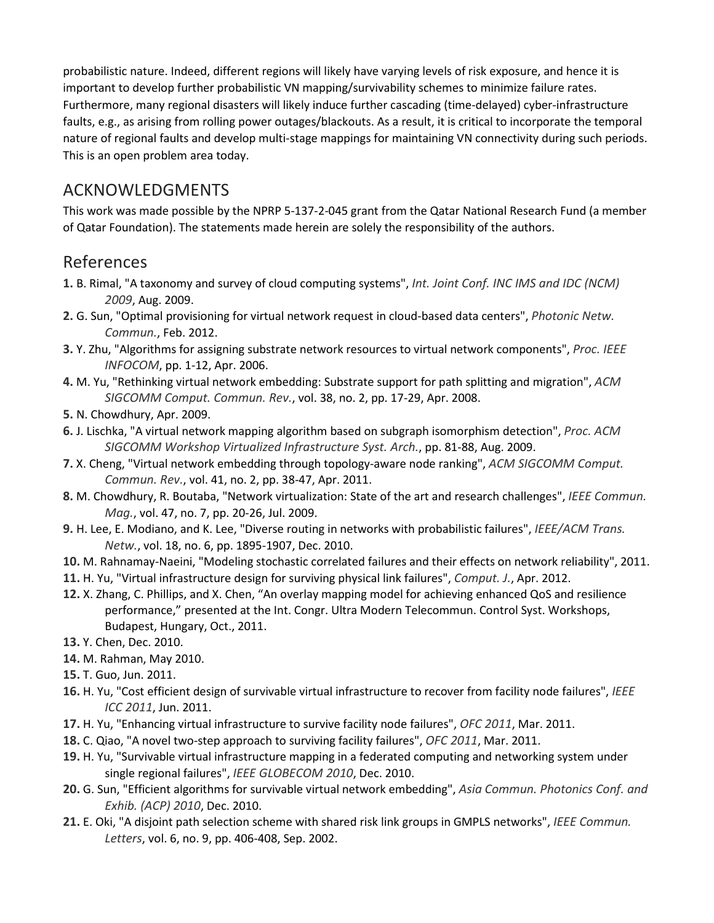probabilistic nature. Indeed, different regions will likely have varying levels of risk exposure, and hence it is important to develop further probabilistic VN mapping/survivability schemes to minimize failure rates. Furthermore, many regional disasters will likely induce further cascading (time-delayed) cyber-infrastructure faults, e.g., as arising from rolling power outages/blackouts. As a result, it is critical to incorporate the temporal nature of regional faults and develop multi-stage mappings for maintaining VN connectivity during such periods. This is an open problem area today.

## ACKNOWLEDGMENTS

This work was made possible by the NPRP 5-137-2-045 grant from the Qatar National Research Fund (a member of Qatar Foundation). The statements made herein are solely the responsibility of the authors.

## References

- **1.** B. Rimal, "A taxonomy and survey of cloud computing systems", *Int. Joint Conf. INC IMS and IDC (NCM) 2009*, Aug. 2009.
- **2.** G. Sun, "Optimal provisioning for virtual network request in cloud-based data centers", *Photonic Netw. Commun.*, Feb. 2012.
- **3.** Y. Zhu, "Algorithms for assigning substrate network resources to virtual network components", *Proc. IEEE INFOCOM*, pp. 1-12, Apr. 2006.
- **4.** M. Yu, "Rethinking virtual network embedding: Substrate support for path splitting and migration", *ACM SIGCOMM Comput. Commun. Rev.*, vol. 38, no. 2, pp. 17-29, Apr. 2008.
- **5.** N. Chowdhury, Apr. 2009.
- **6.** J. Lischka, "A virtual network mapping algorithm based on subgraph isomorphism detection", *Proc. ACM SIGCOMM Workshop Virtualized Infrastructure Syst. Arch.*, pp. 81-88, Aug. 2009.
- **7.** X. Cheng, "Virtual network embedding through topology-aware node ranking", *ACM SIGCOMM Comput. Commun. Rev.*, vol. 41, no. 2, pp. 38-47, Apr. 2011.
- **8.** M. Chowdhury, R. Boutaba, "Network virtualization: State of the art and research challenges", *IEEE Commun. Mag.*, vol. 47, no. 7, pp. 20-26, Jul. 2009.
- **9.** H. Lee, E. Modiano, and K. Lee, "Diverse routing in networks with probabilistic failures", *IEEE/ACM Trans. Netw.*, vol. 18, no. 6, pp. 1895-1907, Dec. 2010.
- **10.** M. Rahnamay-Naeini, "Modeling stochastic correlated failures and their effects on network reliability", 2011.
- **11.** H. Yu, "Virtual infrastructure design for surviving physical link failures", *Comput. J.*, Apr. 2012.
- **12.** X. Zhang, C. Phillips, and X. Chen, "An overlay mapping model for achieving enhanced QoS and resilience performance," presented at the Int. Congr. Ultra Modern Telecommun. Control Syst. Workshops, Budapest, Hungary, Oct., 2011.
- **13.** Y. Chen, Dec. 2010.
- **14.** M. Rahman, May 2010.
- **15.** T. Guo, Jun. 2011.
- **16.** H. Yu, "Cost efficient design of survivable virtual infrastructure to recover from facility node failures", *IEEE ICC 2011*, Jun. 2011.
- **17.** H. Yu, "Enhancing virtual infrastructure to survive facility node failures", *OFC 2011*, Mar. 2011.
- **18.** C. Qiao, "A novel two-step approach to surviving facility failures", *OFC 2011*, Mar. 2011.
- **19.** H. Yu, "Survivable virtual infrastructure mapping in a federated computing and networking system under single regional failures", *IEEE GLOBECOM 2010*, Dec. 2010.
- **20.** G. Sun, "Efficient algorithms for survivable virtual network embedding", *Asia Commun. Photonics Conf. and Exhib. (ACP) 2010*, Dec. 2010.
- **21.** E. Oki, "A disjoint path selection scheme with shared risk link groups in GMPLS networks", *IEEE Commun. Letters*, vol. 6, no. 9, pp. 406-408, Sep. 2002.